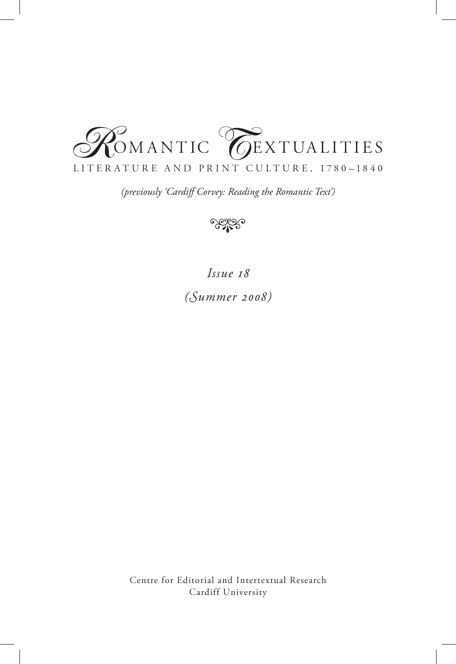

*(previously 'Cardiff Corvey: Reading the Romantic Text')*



*Issue 18 (Summer 2008)*

Centre for Editorial and Intertextual Research Cardiff University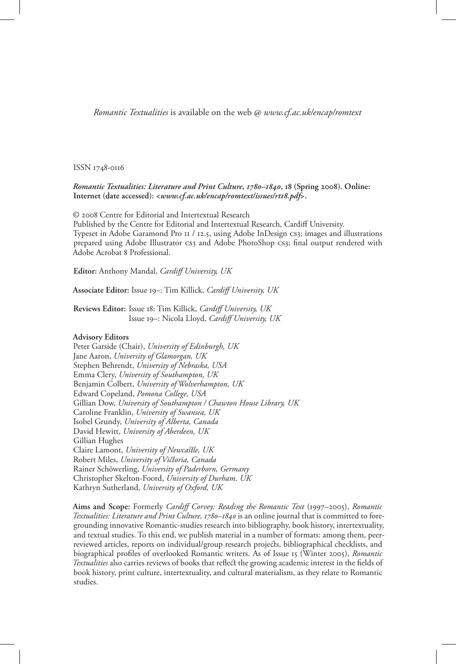*Romantic Textualities* is available on the web @ *www.cf.ac.uk/encap/romtext*

#### ISSN 1748-0116

#### *Romantic Textualities: Literature and Print Culture, 1780–1840***, 18 (Spring 2008). Online: Internet (date accessed): <***www.cf.ac.uk/encap/romtext/issues/rt18.pdf***>.**

© 2008 Centre for Editorial and Intertextual Research

Published by the Centre for Editorial and Intertextual Research, Cardiff University. Typeset in Adobe Garamond Pro 11 / 12.5, using Adobe InDesign cs3; images and illustrations prepared using Adobe Illustrator CS3 and Adobe PhotoShop CS3; final output rendered with Adobe Acrobat 8 Professional.

**Editor:** Anthony Mandal, *Cardiff University, UK*

**Associate Editor:** Issue 19–: Tim Killick, *Cardiff University, UK* 

**Reviews Editor:** Issue 18: Tim Killick, *Cardiff University, UK*  Issue 19–: Nicola Lloyd, *Cardiff University, UK*

#### **Advisory Editors**

Peter Garside (Chair), *University of Edinburgh, UK* Jane Aaron, *University of Glamorgan, UK* Stephen Behrendt, *University of Nebraska, USA* Emma Clery, *University of Southampton, UK* Benjamin Colbert, *University of Wolverhampton, UK* Edward Copeland, *Pomona College, USA* Gillian Dow, *University of Southampton / Chawton House Library, UK* Caroline Franklin, *University of Swansea, UK* Isobel Grundy, *University of Alberta, Canada* David Hewitt, *University of Aberdeen, UK* Gillian Hughes Claire Lamont, *University of Newcastle, UK* Robert Miles, *University of Victoria, Canada* Rainer Schöwerling, *University of Paderborn, Germany* Christopher Skelton-Foord, *University of Durham, UK* Kathryn Sutherland, *University of Oxford, UK*

**Aims and Scope:** Formerly *Cardiff Corvey: Reading the Romantic Text* (1997–2005), *Romantic*  Textualities: Literature and Print Culture, 1780–1840 is an online journal that is committed to foregrounding innovative Romantic-studies research into bibliography, book history, intertextuality, and textual studies. To this end, we publish material in a number of formats: among them, peerreviewed articles, reports on individual/group research projects, bibliographical checklists, and biographical profiles of overlooked Romantic writers. As of Issue 15 (Winter 2005), *Romantic Textualities* also carries reviews of books that reflect the growing academic interest in the fields of book history, print culture, intertextuality, and cultural materialism, as they relate to Romantic studies.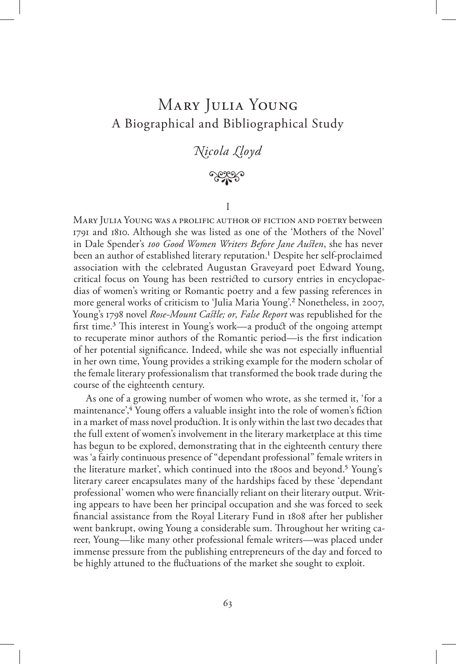# Mary Julia Young A Biographical and Bibliographical Study

## *Nicola Lloyd*



I

Mary Julia Young was a prolific author of fiction and poetry between 1791 and 1810. Although she was listed as one of the 'Mothers of the Novel' in Dale Spender's *100 Good Women Writers Before Jane Austen*, she has never been an author of established literary reputation.<sup>1</sup> Despite her self-proclaimed association with the celebrated Augustan Graveyard poet Edward Young, critical focus on Young has been restricted to cursory entries in encyclopaedias of women's writing or Romantic poetry and a few passing references in more general works of criticism to 'Julia Maria Young'.2 Nonetheless, in 2007, Young's 1798 novel *Rose-Mount Castle; or, False Report* was republished for the first time.3 This interest in Young's work—a product of the ongoing attempt to recuperate minor authors of the Romantic period—is the first indication of her potential significance. Indeed, while she was not especially influential in her own time, Young provides a striking example for the modern scholar of the female literary professionalism that transformed the book trade during the course of the eighteenth century.

As one of a growing number of women who wrote, as she termed it, 'for a maintenance',<sup>4</sup> Young offers a valuable insight into the role of women's fiction in a market of mass novel production. It is only within the last two decades that the full extent of women's involvement in the literary marketplace at this time has begun to be explored, demonstrating that in the eighteenth century there was 'a fairly continuous presence of "dependant professional" female writers in the literature market', which continued into the 1800s and beyond.5 Young's literary career encapsulates many of the hardships faced by these 'dependant professional' women who were financially reliant on their literary output. Writing appears to have been her principal occupation and she was forced to seek financial assistance from the Royal Literary Fund in 1808 after her publisher went bankrupt, owing Young a considerable sum. Throughout her writing career, Young—like many other professional female writers—was placed under immense pressure from the publishing entrepreneurs of the day and forced to be highly attuned to the fluctuations of the market she sought to exploit.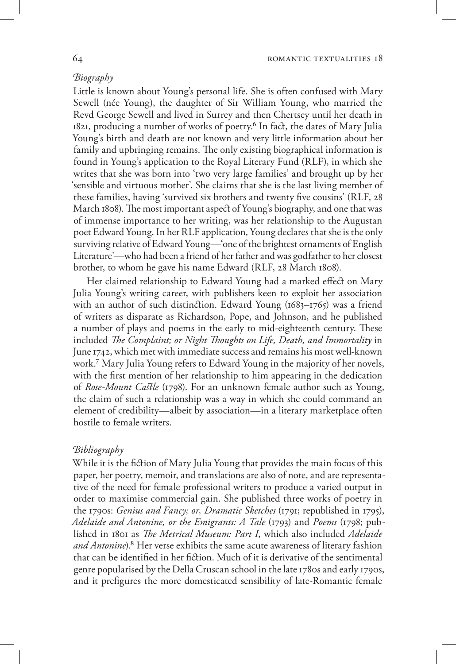## *Biography*

Little is known about Young's personal life. She is often confused with Mary Sewell (née Young), the daughter of Sir William Young, who married the Revd George Sewell and lived in Surrey and then Chertsey until her death in 1821, producing a number of works of poetry.<sup>6</sup> In fact, the dates of Mary Julia Young's birth and death are not known and very little information about her family and upbringing remains. The only existing biographical information is found in Young's application to the Royal Literary Fund (RLF), in which she writes that she was born into 'two very large families' and brought up by her 'sensible and virtuous mother'. She claims that she is the last living member of these families, having 'survived six brothers and twenty five cousins' (RLF, 28 March 1808). The most important aspect of Young's biography, and one that was of immense importance to her writing, was her relationship to the Augustan poet Edward Young. In her RLF application, Young declares that she is the only surviving relative of Edward Young—'one of the brightest ornaments of English Literature'—who had been a friend of her father and was godfather to her closest brother, to whom he gave his name Edward (RLF, 28 March 1808).

Her claimed relationship to Edward Young had a marked effect on Mary Julia Young's writing career, with publishers keen to exploit her association with an author of such distinction. Edward Young (1683–1765) was a friend of writers as disparate as Richardson, Pope, and Johnson, and he published a number of plays and poems in the early to mid-eighteenth century. These included *The Complaint; or Night Thoughts on Life, Death, and Immortality* in June 1742, which met with immediate success and remains his most well-known work.7 Mary Julia Young refers to Edward Young in the majority of her novels, with the first mention of her relationship to him appearing in the dedication of *Rose-Mount Castle* (1798). For an unknown female author such as Young, the claim of such a relationship was a way in which she could command an element of credibility—albeit by association—in a literary marketplace often hostile to female writers.

## *Bibliography*

While it is the fiction of Mary Julia Young that provides the main focus of this paper, her poetry, memoir, and translations are also of note, and are representative of the need for female professional writers to produce a varied output in order to maximise commercial gain. She published three works of poetry in the 1790s: *Genius and Fancy; or, Dramatic Sketches* (1791; republished in 1795), *Adelaide and Antonine, or the Emigrants: A Tale* (1793) and *Poems* (1798; published in 1801 as *The Metrical Museum: Part I*, which also included *Adelaide and Antonine*).8 Her verse exhibits the same acute awareness of literary fashion that can be identified in her fiction. Much of it is derivative of the sentimental genre popularised by the Della Cruscan school in the late 1780s and early 1790s, and it prefigures the more domesticated sensibility of late-Romantic female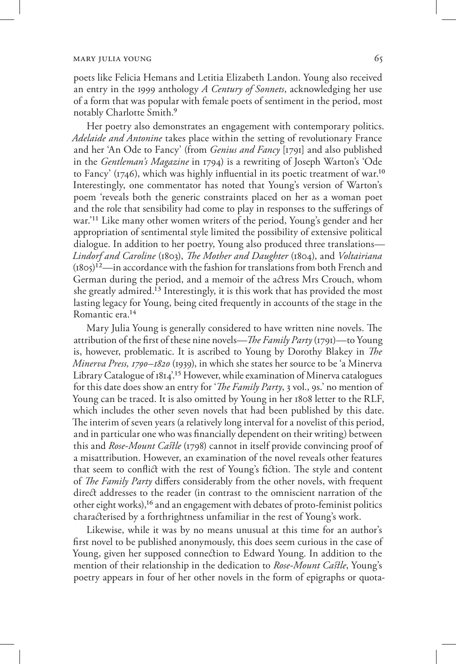poets like Felicia Hemans and Letitia Elizabeth Landon. Young also received an entry in the 1999 anthology *A Century of Sonnets*, acknowledging her use of a form that was popular with female poets of sentiment in the period, most notably Charlotte Smith.9

Her poetry also demonstrates an engagement with contemporary politics. *Adelaide and Antonine* takes place within the setting of revolutionary France and her 'An Ode to Fancy' (from *Genius and Fancy* [1791] and also published in the *Gentleman's Magazine* in 1794) is a rewriting of Joseph Warton's 'Ode to Fancy' ( $1746$ ), which was highly influential in its poetic treatment of war.<sup>10</sup> Interestingly, one commentator has noted that Young's version of Warton's poem 'reveals both the generic constraints placed on her as a woman poet and the role that sensibility had come to play in responses to the sufferings of war.'11 Like many other women writers of the period, Young's gender and her appropriation of sentimental style limited the possibility of extensive political dialogue. In addition to her poetry, Young also produced three translations— *Lindorf and Caroline* (1803), *The Mother and Daughter* (1804), and *Voltairiana*  $(1805)^{12}$ —in accordance with the fashion for translations from both French and German during the period, and a memoir of the actress Mrs Crouch, whom she greatly admired.13 Interestingly, it is this work that has provided the most lasting legacy for Young, being cited frequently in accounts of the stage in the Romantic era.14

Mary Julia Young is generally considered to have written nine novels. The attribution of the first of these nine novels—*The Family Party* (1791)—to Young is, however, problematic. It is ascribed to Young by Dorothy Blakey in *The Minerva Press, 1790–1820* (1939), in which she states her source to be 'a Minerva Library Catalogue of 1814'.15 However, while examination of Minerva catalogues for this date does show an entry for '*The Family Party*, 3 vol., 9s.' no mention of Young can be traced. It is also omitted by Young in her 1808 letter to the RLF, which includes the other seven novels that had been published by this date. The interim of seven years (a relatively long interval for a novelist of this period, and in particular one who was financially dependent on their writing) between this and *Rose-Mount Castle* (1798) cannot in itself provide convincing proof of a misattribution. However, an examination of the novel reveals other features that seem to conflict with the rest of Young's fiction. The style and content of *The Family Party* differs considerably from the other novels, with frequent direct addresses to the reader (in contrast to the omniscient narration of the other eight works),16 and an engagement with debates of proto-feminist politics characterised by a forthrightness unfamiliar in the rest of Young's work.

Likewise, while it was by no means unusual at this time for an author's first novel to be published anonymously, this does seem curious in the case of Young, given her supposed connection to Edward Young. In addition to the mention of their relationship in the dedication to *Rose-Mount Castle*, Young's poetry appears in four of her other novels in the form of epigraphs or quota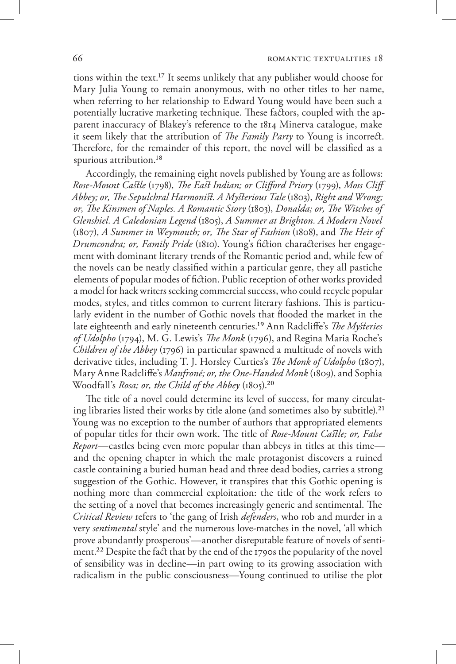tions within the text.17 It seems unlikely that any publisher would choose for Mary Julia Young to remain anonymous, with no other titles to her name, when referring to her relationship to Edward Young would have been such a potentially lucrative marketing technique. These factors, coupled with the apparent inaccuracy of Blakey's reference to the 1814 Minerva catalogue, make it seem likely that the attribution of *The Family Party* to Young is incorrect. Therefore, for the remainder of this report, the novel will be classified as a spurious attribution.<sup>18</sup>

Accordingly, the remaining eight novels published by Young are as follows: *Rose-Mount Castle* (1798), *The East Indian; or Clifford Priory* (1799), *Moss Cliff Abbey; or, The Sepulchral Harmonist. A Mysterious Tale* (1803), *Right and Wrong; or, The Kinsmen of Naples. A Romantic Story* (1803), *Donalda; or, The Witches of Glenshiel. A Caledonian Legend* (1805), *A Summer at Brighton. A Modern Novel* (1807), *A Summer in Weymouth; or, The Star of Fashion* (1808), and *The Heir of Drumcondra; or, Family Pride* (1810). Young's fiction characterises her engagement with dominant literary trends of the Romantic period and, while few of the novels can be neatly classified within a particular genre, they all pastiche elements of popular modes of fiction. Public reception of other works provided a model for hack writers seeking commercial success, who could recycle popular modes, styles, and titles common to current literary fashions. This is particularly evident in the number of Gothic novels that flooded the market in the late eighteenth and early nineteenth centuries.19 Ann Radcliffe's *The Mysteries of Udolpho* (1794), M. G. Lewis's *The Monk* (1796), and Regina Maria Roche's *Children of the Abbey* (1796) in particular spawned a multitude of novels with derivative titles, including T. J. Horsley Curties's *The Monk of Udolpho* (1807), Mary Anne Radcliffe's *Manfroné; or, the One-Handed Monk* (1809), and Sophia Woodfall's *Rosa; or, the Child of the Abbey* (1805).20

The title of a novel could determine its level of success, for many circulating libraries listed their works by title alone (and sometimes also by subtitle).<sup>21</sup> Young was no exception to the number of authors that appropriated elements of popular titles for their own work. The title of *Rose-Mount Castle; or, False Report*—castles being even more popular than abbeys in titles at this time and the opening chapter in which the male protagonist discovers a ruined castle containing a buried human head and three dead bodies, carries a strong suggestion of the Gothic. However, it transpires that this Gothic opening is nothing more than commercial exploitation: the title of the work refers to the setting of a novel that becomes increasingly generic and sentimental. The *Critical Review* refers to 'the gang of Irish *defenders*, who rob and murder in a very *sentimental* style' and the numerous love-matches in the novel, 'all which prove abundantly prosperous'—another disreputable feature of novels of sentiment.22 Despite the fact that by the end of the 1790s the popularity of the novel of sensibility was in decline—in part owing to its growing association with radicalism in the public consciousness—Young continued to utilise the plot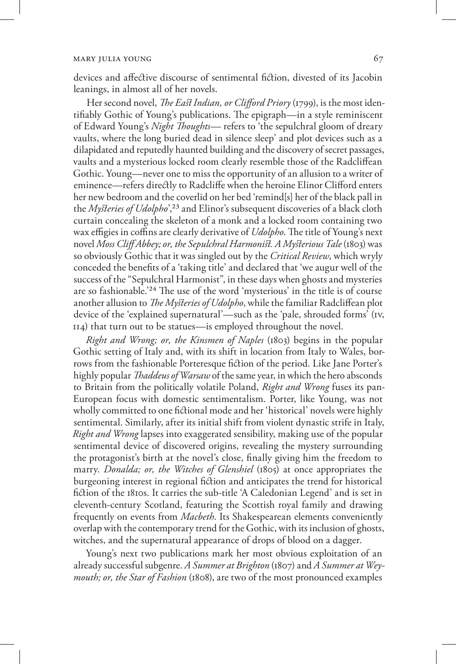devices and affective discourse of sentimental fiction, divested of its Jacobin leanings, in almost all of her novels.

Her second novel, *The East Indian, or Clifford Priory* (1799), is the most identifiably Gothic of Young's publications. The epigraph—in a style reminiscent of Edward Young's *Night Thoughts*— refers to 'the sepulchral gloom of dreary vaults, where the long buried dead in silence sleep' and plot devices such as a dilapidated and reputedly haunted building and the discovery of secret passages, vaults and a mysterious locked room clearly resemble those of the Radcliffean Gothic. Young—never one to miss the opportunity of an allusion to a writer of eminence—refers directly to Radcliffe when the heroine Elinor Clifford enters her new bedroom and the coverlid on her bed 'remind[s] her of the black pall in the *Mysteries of Udolpho*',23 and Elinor's subsequent discoveries of a black cloth curtain concealing the skeleton of a monk and a locked room containing two wax effigies in coffins are clearly derivative of *Udolpho*. The title of Young's next novel *Moss Cliff Abbey; or, the Sepulchral Harmonist. A Mysterious Tale* (1803) was so obviously Gothic that it was singled out by the *Critical Review*, which wryly conceded the benefits of a 'taking title' and declared that 'we augur well of the success of the "Sepulchral Harmonist", in these days when ghosts and mysteries are so fashionable.'24 The use of the word 'mysterious' in the title is of course another allusion to *The Mysteries of Udolpho*, while the familiar Radcliffean plot device of the 'explained supernatural'—such as the 'pale, shrouded forms' (iv, 114) that turn out to be statues—is employed throughout the novel.

*Right and Wrong; or, the Kinsmen of Naples* (1803) begins in the popular Gothic setting of Italy and, with its shift in location from Italy to Wales, borrows from the fashionable Porteresque fiction of the period. Like Jane Porter's highly popular *Thaddeus of Warsaw* of the same year, in which the hero absconds to Britain from the politically volatile Poland, *Right and Wrong* fuses its pan-European focus with domestic sentimentalism. Porter, like Young, was not wholly committed to one fictional mode and her 'historical' novels were highly sentimental. Similarly, after its initial shift from violent dynastic strife in Italy, *Right and Wrong* lapses into exaggerated sensibility, making use of the popular sentimental device of discovered origins, revealing the mystery surrounding the protagonist's birth at the novel's close, finally giving him the freedom to marry. *Donalda; or, the Witches of Glenshiel* (1805) at once appropriates the burgeoning interest in regional fiction and anticipates the trend for historical fiction of the 1810s. It carries the sub-title 'A Caledonian Legend' and is set in eleventh-century Scotland, featuring the Scottish royal family and drawing frequently on events from *Macbeth*. Its Shakespearean elements conveniently overlap with the contemporary trend for the Gothic, with its inclusion of ghosts, witches, and the supernatural appearance of drops of blood on a dagger.

Young's next two publications mark her most obvious exploitation of an already successful subgenre. *A Summer at Brighton* (1807) and *A Summer at Weymouth; or, the Star of Fashion* (1808), are two of the most pronounced examples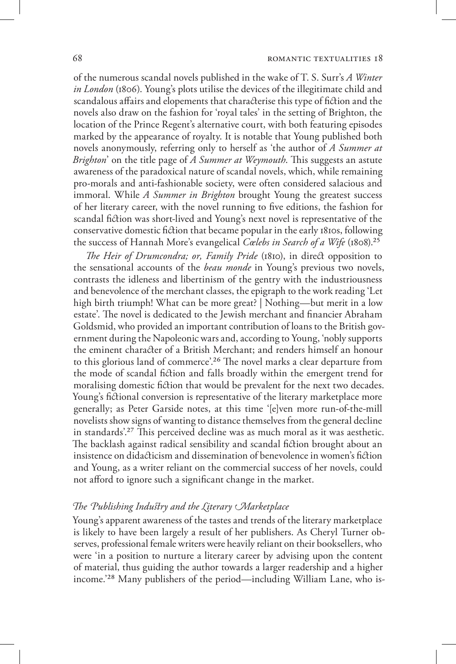of the numerous scandal novels published in the wake of T. S. Surr's *A Winter in London* (1806). Young's plots utilise the devices of the illegitimate child and scandalous affairs and elopements that characterise this type of fiction and the novels also draw on the fashion for 'royal tales' in the setting of Brighton, the location of the Prince Regent's alternative court, with both featuring episodes marked by the appearance of royalty. It is notable that Young published both novels anonymously, referring only to herself as 'the author of *A Summer at Brighton*' on the title page of *A Summer at Weymouth*. This suggests an astute awareness of the paradoxical nature of scandal novels, which, while remaining pro-morals and anti-fashionable society, were often considered salacious and immoral. While *A Summer in Brighton* brought Young the greatest success of her literary career, with the novel running to five editions, the fashion for scandal fiction was short-lived and Young's next novel is representative of the conservative domestic fiction that became popular in the early 1810s, following the success of Hannah More's evangelical *Cœlebs in Search of a Wife* (1808).25

*The Heir of Drumcondra; or, Family Pride* (1810), in direct opposition to the sensational accounts of the *beau monde* in Young's previous two novels, contrasts the idleness and libertinism of the gentry with the industriousness and benevolence of the merchant classes, the epigraph to the work reading 'Let high birth triumph! What can be more great? | Nothing—but merit in a low estate'. The novel is dedicated to the Jewish merchant and financier Abraham Goldsmid, who provided an important contribution of loans to the British government during the Napoleonic wars and, according to Young, 'nobly supports the eminent character of a British Merchant; and renders himself an honour to this glorious land of commerce'.26 The novel marks a clear departure from the mode of scandal fiction and falls broadly within the emergent trend for moralising domestic fiction that would be prevalent for the next two decades. Young's fictional conversion is representative of the literary marketplace more generally; as Peter Garside notes, at this time '[e]ven more run-of-the-mill novelists show signs of wanting to distance themselves from the general decline in standards'.27 This perceived decline was as much moral as it was aesthetic. The backlash against radical sensibility and scandal fiction brought about an insistence on didacticism and dissemination of benevolence in women's fiction and Young, as a writer reliant on the commercial success of her novels, could not afford to ignore such a significant change in the market.

## *The Publishing Industry and the Literary Marketplace*

Young's apparent awareness of the tastes and trends of the literary marketplace is likely to have been largely a result of her publishers. As Cheryl Turner observes, professional female writers were heavily reliant on their booksellers, who were 'in a position to nurture a literary career by advising upon the content of material, thus guiding the author towards a larger readership and a higher income.'28 Many publishers of the period—including William Lane, who is-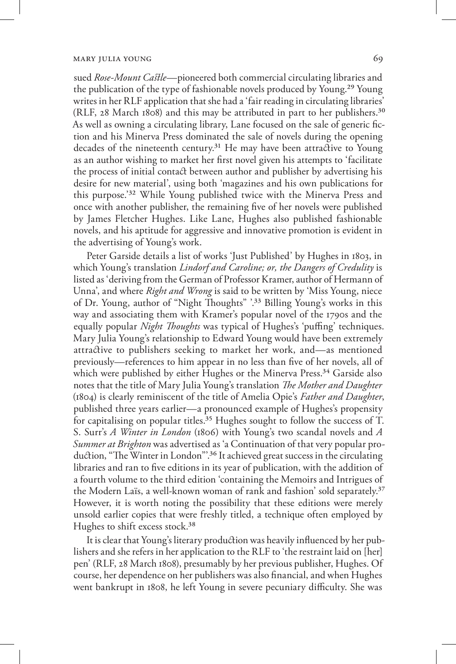sued *Rose-Mount Castle*—pioneered both commercial circulating libraries and the publication of the type of fashionable novels produced by Young.29 Young writes in her RLF application that she had a 'fair reading in circulating libraries' (RLF, 28 March 1808) and this may be attributed in part to her publishers.30 As well as owning a circulating library, Lane focused on the sale of generic fiction and his Minerva Press dominated the sale of novels during the opening decades of the nineteenth century.<sup>31</sup> He may have been attractive to Young as an author wishing to market her first novel given his attempts to 'facilitate the process of initial contact between author and publisher by advertising his desire for new material', using both 'magazines and his own publications for this purpose.'32 While Young published twice with the Minerva Press and once with another publisher, the remaining five of her novels were published by James Fletcher Hughes. Like Lane, Hughes also published fashionable novels, and his aptitude for aggressive and innovative promotion is evident in the advertising of Young's work.

Peter Garside details a list of works 'Just Published' by Hughes in 1803, in which Young's translation *Lindorf and Caroline; or, the Dangers of Credulity* is listed as 'deriving from the German of Professor Kramer, author of Hermann of Unna', and where *Right and Wrong* is said to be written by 'Miss Young, niece of Dr. Young, author of "Night Thoughts" '.33 Billing Young's works in this way and associating them with Kramer's popular novel of the 1790s and the equally popular *Night Thoughts* was typical of Hughes's 'puffing' techniques. Mary Julia Young's relationship to Edward Young would have been extremely attractive to publishers seeking to market her work, and—as mentioned previously—references to him appear in no less than five of her novels, all of which were published by either Hughes or the Minerva Press.<sup>34</sup> Garside also notes that the title of Mary Julia Young's translation *The Mother and Daughter* (1804) is clearly reminiscent of the title of Amelia Opie's *Father and Daughter*, published three years earlier—a pronounced example of Hughes's propensity for capitalising on popular titles.<sup>35</sup> Hughes sought to follow the success of T. S. Surr's *A Winter in London* (1806) with Young's two scandal novels and *A Summer at Brighton* was advertised as 'a Continuation of that very popular production, "The Winter in London".<sup>36</sup> It achieved great success in the circulating libraries and ran to five editions in its year of publication, with the addition of a fourth volume to the third edition 'containing the Memoirs and Intrigues of the Modern Laïs, a well-known woman of rank and fashion' sold separately.37 However, it is worth noting the possibility that these editions were merely unsold earlier copies that were freshly titled, a technique often employed by Hughes to shift excess stock.38

It is clear that Young's literary production was heavily influenced by her publishers and she refers in her application to the RLF to 'the restraint laid on [her] pen' (RLF, 28 March 1808), presumably by her previous publisher, Hughes. Of course, her dependence on her publishers was also financial, and when Hughes went bankrupt in 1808, he left Young in severe pecuniary difficulty. She was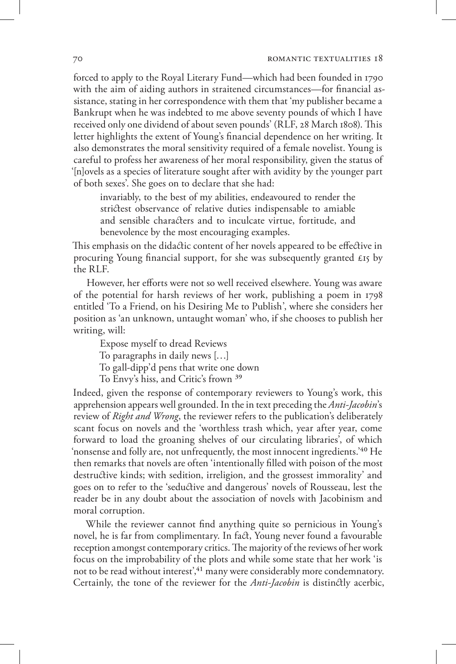forced to apply to the Royal Literary Fund—which had been founded in 1790 with the aim of aiding authors in straitened circumstances—for financial assistance, stating in her correspondence with them that 'my publisher became a Bankrupt when he was indebted to me above seventy pounds of which I have received only one dividend of about seven pounds' (RLF, 28 March 1808). This letter highlights the extent of Young's financial dependence on her writing. It also demonstrates the moral sensitivity required of a female novelist. Young is careful to profess her awareness of her moral responsibility, given the status of '[n]ovels as a species of literature sought after with avidity by the younger part of both sexes'. She goes on to declare that she had:

invariably, to the best of my abilities, endeavoured to render the strictest observance of relative duties indispensable to amiable and sensible characters and to inculcate virtue, fortitude, and benevolence by the most encouraging examples.

This emphasis on the didactic content of her novels appeared to be effective in procuring Young financial support, for she was subsequently granted £15 by the RLF.

However, her efforts were not so well received elsewhere. Young was aware of the potential for harsh reviews of her work, publishing a poem in 1798 entitled 'To a Friend, on his Desiring Me to Publish', where she considers her position as 'an unknown, untaught woman' who, if she chooses to publish her writing, will:

Expose myself to dread Reviews To paragraphs in daily news […] To gall-dipp'd pens that write one down To Envy's hiss, and Critic's frown 39

Indeed, given the response of contemporary reviewers to Young's work, this apprehension appears well grounded. In the in text preceding the *Anti-Jacobin*'s review of *Right and Wrong*, the reviewer refers to the publication's deliberately scant focus on novels and the 'worthless trash which, year after year, come forward to load the groaning shelves of our circulating libraries', of which 'nonsense and folly are, not unfrequently, the most innocent ingredients.'40 He then remarks that novels are often 'intentionally filled with poison of the most destructive kinds; with sedition, irreligion, and the grossest immorality' and goes on to refer to the 'seductive and dangerous' novels of Rousseau, lest the reader be in any doubt about the association of novels with Jacobinism and moral corruption.

While the reviewer cannot find anything quite so pernicious in Young's novel, he is far from complimentary. In fact, Young never found a favourable reception amongst contemporary critics. The majority of the reviews of her work focus on the improbability of the plots and while some state that her work 'is not to be read without interest<sup>',41</sup> many were considerably more condemnatory. Certainly, the tone of the reviewer for the *Anti-Jacobin* is distinctly acerbic,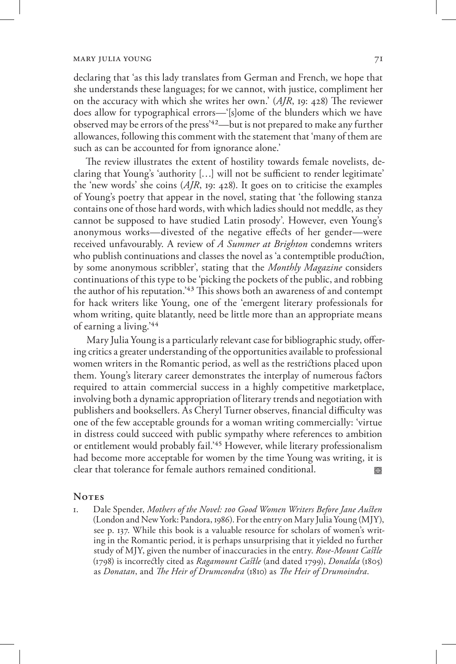declaring that 'as this lady translates from German and French, we hope that she understands these languages; for we cannot, with justice, compliment her on the accuracy with which she writes her own.' (*AJR*, 19: 428) The reviewer does allow for typographical errors—'[s]ome of the blunders which we have observed may be errors of the press'42—but is not prepared to make any further allowances, following this comment with the statement that 'many of them are such as can be accounted for from ignorance alone.'

The review illustrates the extent of hostility towards female novelists, declaring that Young's 'authority […] will not be sufficient to render legitimate' the 'new words' she coins (*AJR*, 19: 428). It goes on to criticise the examples of Young's poetry that appear in the novel, stating that 'the following stanza contains one of those hard words, with which ladies should not meddle, as they cannot be supposed to have studied Latin prosody'. However, even Young's anonymous works—divested of the negative effects of her gender—were received unfavourably. A review of *A Summer at Brighton* condemns writers who publish continuations and classes the novel as 'a contemptible production, by some anonymous scribbler', stating that the *Monthly Magazine* considers continuations of this type to be 'picking the pockets of the public, and robbing the author of his reputation.'43 This shows both an awareness of and contempt for hack writers like Young, one of the 'emergent literary professionals for whom writing, quite blatantly, need be little more than an appropriate means of earning a living.'44

Mary Julia Young is a particularly relevant case for bibliographic study, offering critics a greater understanding of the opportunities available to professional women writers in the Romantic period, as well as the restrictions placed upon them. Young's literary career demonstrates the interplay of numerous factors required to attain commercial success in a highly competitive marketplace, involving both a dynamic appropriation of literary trends and negotiation with publishers and booksellers. As Cheryl Turner observes, financial difficulty was one of the few acceptable grounds for a woman writing commercially: 'virtue in distress could succeed with public sympathy where references to ambition or entitlement would probably fail.'45 However, while literary professionalism had become more acceptable for women by the time Young was writing, it is clear that tolerance for female authors remained conditional. •

## Notes

1. Dale Spender, *Mothers of the Novel: 100 Good Women Writers Before Jane Austen* (London and New York: Pandora, 1986). For the entry on Mary Julia Young (MJY), see p. 137. While this book is a valuable resource for scholars of women's writing in the Romantic period, it is perhaps unsurprising that it yielded no further study of MJY, given the number of inaccuracies in the entry. *Rose-Mount Castle* (1798) is incorrectly cited as *Ragamount Castle* (and dated 1799), *Donalda* (1805) as *Donatan*, and *The Heir of Drumcondra* (1810) as *The Heir of Drumoindra*.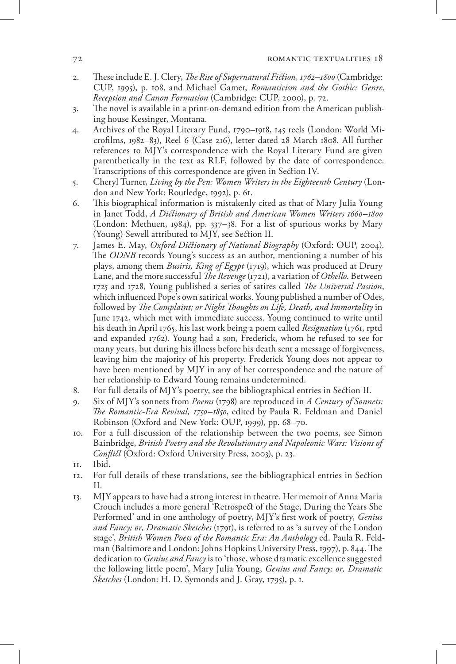#### 72 **ROMANTIC TEXTUALITIES 18**

- 2. These include E. J. Clery, *The Rise of Supernatural Fiction, 1762–1800* (Cambridge: CUP, 1995), p. 108, and Michael Gamer, *Romanticism and the Gothic: Genre, Reception and Canon Formation* (Cambridge: CUP, 2000), p. 72.
- 3. The novel is available in a print-on-demand edition from the American publishing house Kessinger, Montana.
- 4. Archives of the Royal Literary Fund, 1790–1918, 145 reels (London: World Microfilms, 1982–83), Reel 6 (Case 216), letter dated 28 March 1808. All further references to MJY's correspondence with the Royal Literary Fund are given parenthetically in the text as RLF, followed by the date of correspondence. Transcriptions of this correspondence are given in Section IV.
- 5. Cheryl Turner, *Living by the Pen: Women Writers in the Eighteenth Century* (London and New York: Routledge, 1992), p. 61.
- 6. This biographical information is mistakenly cited as that of Mary Julia Young in Janet Todd, *A Dictionary of British and American Women Writers 1660–1800* (London: Methuen, 1984), pp. 337–38. For a list of spurious works by Mary (Young) Sewell attributed to MJY, see Section II.
- 7. James E. May, *Oxford Dictionary of National Biography* (Oxford: OUP, 2004). The *ODNB* records Young's success as an author, mentioning a number of his plays, among them *Busiris, King of Egypt* (1719), which was produced at Drury Lane, and the more successful *The Revenge* (1721), a variation of *Othello*. Between 1725 and 1728, Young published a series of satires called *The Universal Passion*, which influenced Pope's own satirical works. Young published a number of Odes, followed by *The Complaint; or Night Thoughts on Life, Death, and Immortality* in June 1742, which met with immediate success. Young continued to write until his death in April 1765, his last work being a poem called *Resignation* (1761, rptd and expanded 1762). Young had a son, Frederick, whom he refused to see for many years, but during his illness before his death sent a message of forgiveness, leaving him the majority of his property. Frederick Young does not appear to have been mentioned by MJY in any of her correspondence and the nature of her relationship to Edward Young remains undetermined.
- 8. For full details of MJY's poetry, see the bibliographical entries in Section II.
- 9. Six of MJY's sonnets from *Poems* (1798) are reproduced in *A Century of Sonnets: The Romantic-Era Revival, 1750–1850*, edited by Paula R. Feldman and Daniel Robinson (Oxford and New York: OUP, 1999), pp. 68–70.
- 10. For a full discussion of the relationship between the two poems, see Simon Bainbridge, *British Poetry and the Revolutionary and Napoleonic Wars: Visions of Conflict* (Oxford: Oxford University Press, 2003), p. 23.
- 11. Ibid.
- 12. For full details of these translations, see the bibliographical entries in Section II.
- 13. MJY appears to have had a strong interest in theatre. Her memoir of Anna Maria Crouch includes a more general 'Retrospect of the Stage, During the Years She Performed' and in one anthology of poetry, MJY's first work of poetry, *Genius and Fancy; or, Dramatic Sketches* (1791), is referred to as 'a survey of the London stage', *British Women Poets of the Romantic Era: An Anthology* ed. Paula R. Feldman (Baltimore and London: Johns Hopkins University Press, 1997), p. 844. The dedication to *Genius and Fancy* is to 'those, whose dramatic excellence suggested the following little poem', Mary Julia Young, *Genius and Fancy; or, Dramatic Sketches* (London: H. D. Symonds and J. Gray, 1795), p. 1.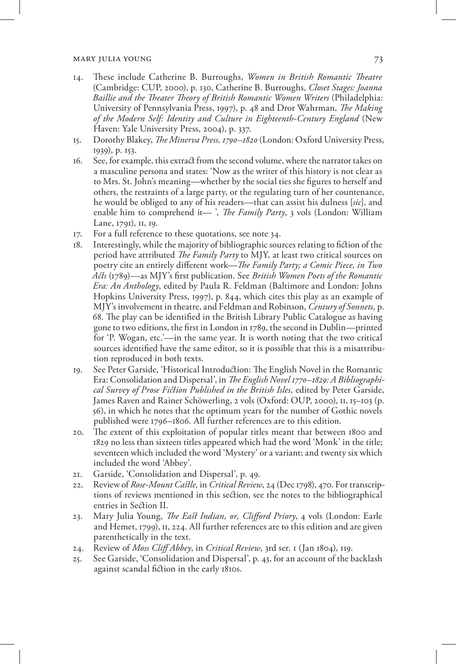- 14. These include Catherine B. Burroughs, *Women in British Romantic Theatre* (Cambridge: CUP, 2000), p. 130, Catherine B. Burroughs, *Closet Stages: Joanna Baillie and the Theater Theory of British Romantic Women Writers* (Philadelphia: University of Pennsylvania Press, 1997), p. 48 and Dror Wahrman, *The Making of the Modern Self: Identity and Culture in Eighteenth-Century England* (New Haven: Yale University Press, 2004), p. 337.
- 15. Dorothy Blakey, *The Minerva Press, 1790–1820* (London: Oxford University Press, 1939), p. 153.
- 16. See, for example, this extract from the second volume, where the narrator takes on a masculine persona and states: 'Now as the writer of this history is not clear as to Mrs. St. John's meaning—whether by the social ties she figures to herself and others, the restraints of a large party, or the regulating turn of her countenance, he would be obliged to any of his readers—that can assist his dulness [*sic*], and enable him to comprehend it— ', *The Family Party*, 3 vols (London: William Lane, 1791), II, 19.
- 17. For a full reference to these quotations, see note 34.
- 18. Interestingly, while the majority of bibliographic sources relating to fiction of the period have attributed *The Family Party* to MJY, at least two critical sources on poetry cite an entirely different work—*The Family Party; a Comic Piece, in Two Acts* (1789)—as MJY's first publication. See *British Women Poets of the Romantic Era: An Anthology*, edited by Paula R. Feldman (Baltimore and London: Johns Hopkins University Press, 1997), p. 844, which cites this play as an example of MJY's involvement in theatre, and Feldman and Robinson, *Century of Sonnets,* p. 68. The play can be identified in the British Library Public Catalogue as having gone to two editions, the first in London in 1789, the second in Dublin—printed for 'P. Wogan, etc.'—in the same year. It is worth noting that the two critical sources identified have the same editor, so it is possible that this is a misattribution reproduced in both texts.
- 19. See Peter Garside, 'Historical Introduction: The English Novel in the Romantic Era: Consolidation and Dispersal', in *The English Novel 1770–1829: A Bibliographical Survey of Prose Fiction Published in the British Isles*, edited by Peter Garside, James Raven and Rainer Schöwerling, 2 vols (Oxford: OUP, 2000), ii, 15–103 (p. 56), in which he notes that the optimum years for the number of Gothic novels published were 1796–1806. All further references are to this edition.
- 20. The extent of this exploitation of popular titles meant that between 1800 and 1829 no less than sixteen titles appeared which had the word 'Monk' in the title; seventeen which included the word 'Mystery' or a variant; and twenty six which included the word 'Abbey'.
- 21. Garside, 'Consolidation and Dispersal', p. 49.
- 22. Review of *Rose-Mount Castle,* in *Critical Review*, 24 (Dec 1798), 470. For transcriptions of reviews mentioned in this section, see the notes to the bibliographical entries in Section II.
- 23. Mary Julia Young, *The East Indian, or, Clifford Priory*, 4 vols (London: Earle and Hemet, 1799), ii, 224. All further references are to this edition and are given parenthetically in the text.
- 24. Review of *Moss Cliff Abbey*, in *Critical Review*, 3rd ser. 1 (Jan 1804), 119.
- 25. See Garside, 'Consolidation and Dispersal', p. 43, for an account of the backlash against scandal fiction in the early 1810s.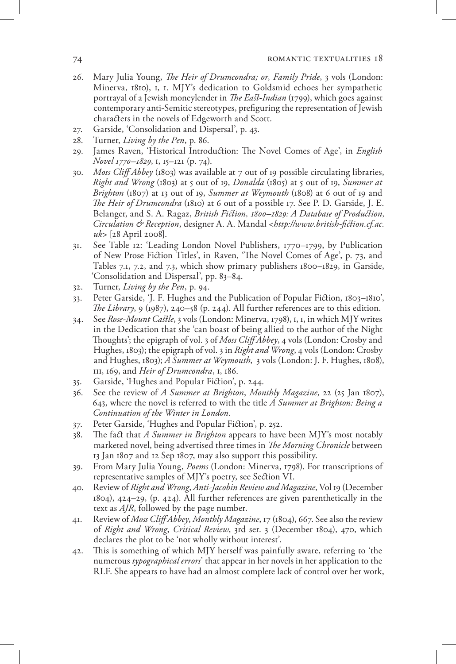- 26. Mary Julia Young, *The Heir of Drumcondra; or, Family Pride*, 3 vols (London: Minerva, 1810), i, 1. MJY's dedication to Goldsmid echoes her sympathetic portrayal of a Jewish moneylender in *The East-Indian* (1799), which goes against contemporary anti-Semitic stereotypes, prefiguring the representation of Jewish characters in the novels of Edgeworth and Scott.
- 27. Garside, 'Consolidation and Dispersal', p. 43.
- 28. Turner, *Living by the Pen*, p. 86.
- 29. James Raven, 'Historical Introduction: The Novel Comes of Age', in *English Novel 1770–1829*, i, 15–121 (p. 74).
- 30. *Moss Cliff Abbey* (1803) was available at 7 out of 19 possible circulating libraries, *Right and Wrong* (1803) at 5 out of 19, *Donalda* (1805) at 5 out of 19, *Summer at Brighton* (1807) at 13 out of 19, *Summer at Weymouth* (1808) at 6 out of 19 and *The Heir of Drumcondra* (1810) at 6 out of a possible 17. See P. D. Garside, J. E. Belanger, and S. A. Ragaz, *British Fiction, 1800–1829: A Database of Production, Circulation & Reception*, designer A. A. Mandal <*http://www.british-fiction.cf.ac. uk*> [28 April 2008].
- 31. See Table 12: 'Leading London Novel Publishers, 1770–1799, by Publication of New Prose Fiction Titles', in Raven, 'The Novel Comes of Age', p. 73, and Tables 7.1, 7.2, and 7.3, which show primary publishers 1800–1829, in Garside, 'Consolidation and Dispersal', pp. 83–84.
- 32. Turner, *Living by the Pen*, p. 94.
- 33. Peter Garside, 'J. F. Hughes and the Publication of Popular Fiction, 1803–1810', *The Library*, 9 (1987), 240–58 (p. 244). All further references are to this edition.
- 34. See *Rose-Mount Castle*, 3 vols (London: Minerva, 1798), i, 1, in which MJY writes in the Dedication that she 'can boast of being allied to the author of the Night Thoughts'; the epigraph of vol. 3 of *Moss Cliff Abbey*, 4 vols (London: Crosby and Hughes, 1803); the epigraph of vol. 3 in *Right and Wrong*, 4 vols (London: Crosby and Hughes, 1803); *A Summer at Weymouth*, 3 vols (London: J. F. Hughes, 1808), iii, 169, and *Heir of Drumcondra*, i, 186.
- 35. Garside, 'Hughes and Popular Fiction', p. 244.
- 36. See the review of *A Summer at Brighton*, *Monthly Magazine*, 22 (25 Jan 1807), 643, where the novel is referred to with the title *A Summer at Brighton: Being a Continuation of the Winter in London*.
- 37. Peter Garside, 'Hughes and Popular Fiction', p. 252.
- 38. The fact that *A Summer in Brighton* appears to have been MJY's most notably marketed novel, being advertised three times in *The Morning Chronicle* between 13 Jan 1807 and 12 Sep 1807, may also support this possibility.
- 39. From Mary Julia Young, *Poems* (London: Minerva, 1798). For transcriptions of representative samples of MJY's poetry, see Section VI.
- 40. Review of *Right and Wrong*, *Anti-Jacobin Review and Magazine*, Vol 19 (December 1804), 424–29, (p. 424). All further references are given parenthetically in the text as *AJR*, followed by the page number.
- 41. Review of *Moss Cliff Abbey*, *Monthly Magazine*, 17 (1804), 667. See also the review of *Right and Wrong*, *Critical Review*, 3rd ser. 3 (December 1804), 470, which declares the plot to be 'not wholly without interest'.
- 42. This is something of which MJY herself was painfully aware, referring to 'the numerous *typographical errors*' that appear in her novels in her application to the RLF. She appears to have had an almost complete lack of control over her work,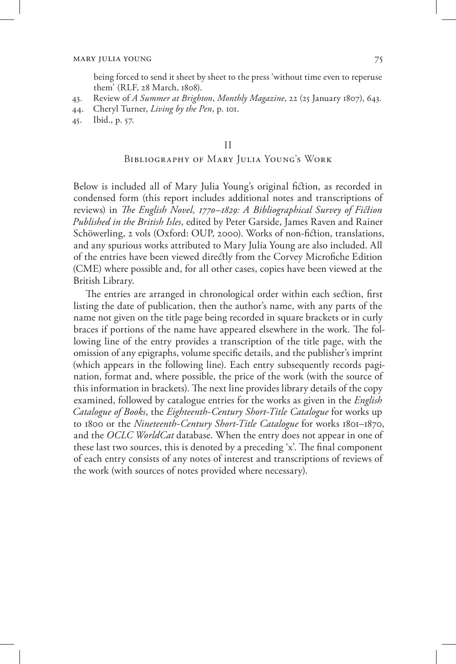being forced to send it sheet by sheet to the press 'without time even to reperuse them' (RLF, 28 March, 1808).

- 43. Review of *A Summer at Brighton*, *Monthly Magazine*, 22 (25 January 1807), 643.
- 44. Cheryl Turner, *Living by the Pen*, p. 101.
- 45. Ibid., p. 57.

#### II

## Bibliography of Mary Julia Young's Work

Below is included all of Mary Julia Young's original fiction, as recorded in condensed form (this report includes additional notes and transcriptions of reviews) in *The English Novel, 1770–1829: A Bibliographical Survey of Fiction Published in the British Isles*, edited by Peter Garside, James Raven and Rainer Schöwerling, 2 vols (Oxford: OUP, 2000). Works of non-fiction, translations, and any spurious works attributed to Mary Julia Young are also included. All of the entries have been viewed directly from the Corvey Microfiche Edition (CME) where possible and, for all other cases, copies have been viewed at the British Library.

The entries are arranged in chronological order within each section, first listing the date of publication, then the author's name, with any parts of the name not given on the title page being recorded in square brackets or in curly braces if portions of the name have appeared elsewhere in the work. The following line of the entry provides a transcription of the title page, with the omission of any epigraphs, volume specific details, and the publisher's imprint (which appears in the following line). Each entry subsequently records pagination, format and, where possible, the price of the work (with the source of this information in brackets). The next line provides library details of the copy examined, followed by catalogue entries for the works as given in the *English Catalogue of Books*, the *Eighteenth-Century Short-Title Catalogue* for works up to 1800 or the *Nineteenth-Century Short-Title Catalogue* for works 1801–1870, and the *OCLC WorldCat* database. When the entry does not appear in one of these last two sources, this is denoted by a preceding 'x'. The final component of each entry consists of any notes of interest and transcriptions of reviews of the work (with sources of notes provided where necessary).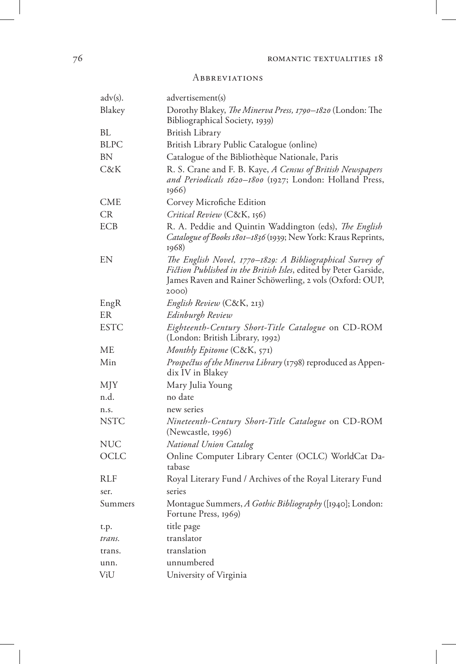## **ABBREVIATIONS**

| $\text{adv}(s)$ . | advertisement(s)                                                                                                                                                                                   |
|-------------------|----------------------------------------------------------------------------------------------------------------------------------------------------------------------------------------------------|
| Blakey            | Dorothy Blakey, The Minerva Press, 1790-1820 (London: The<br>Bibliographical Society, 1939)                                                                                                        |
| ВL                | British Library                                                                                                                                                                                    |
| BLPC              | British Library Public Catalogue (online)                                                                                                                                                          |
| ΒN                | Catalogue of the Bibliothèque Nationale, Paris                                                                                                                                                     |
| C&K               | R. S. Crane and F. B. Kaye, A Census of British Newspapers<br>and Periodicals 1620-1800 (1927; London: Holland Press,<br>1966)                                                                     |
| CME               | Corvey Microfiche Edition                                                                                                                                                                          |
| CR                | Critical Review (C&K, 156)                                                                                                                                                                         |
| ECB               | R. A. Peddie and Quintin Waddington (eds), The English<br>Catalogue of Books 1801-1836 (1939; New York: Kraus Reprints,<br>1968)                                                                   |
| EN                | The English Novel, 1770–1829: A Bibliographical Survey of<br>Fiction Published in the British Isles, edited by Peter Garside,<br>James Raven and Rainer Schöwerling, 2 vols (Oxford: OUP,<br>2000) |
| EngR              | English Review (C&K, 213)                                                                                                                                                                          |
| ER                | Edinburgh Review                                                                                                                                                                                   |
| <b>ESTC</b>       | Eighteenth-Century Short-Title Catalogue on CD-ROM<br>(London: British Library, 1992)                                                                                                              |
| МE                | Monthly Epitome (C&K, 571)                                                                                                                                                                         |
| Min               | Prospectus of the Minerva Library (1798) reproduced as Appen-<br>dix IV in Blakey                                                                                                                  |
| MJY               | Mary Julia Young                                                                                                                                                                                   |
| n.d.              | no date                                                                                                                                                                                            |
| n.s.              | new series                                                                                                                                                                                         |
| <b>NSTC</b>       | Nineteenth-Century Short-Title Catalogue on CD-ROM<br>(Newcastle, 1996)                                                                                                                            |
| NUC               | National Union Catalog                                                                                                                                                                             |
| OCLC              | Online Computer Library Center (OCLC) WorldCat Da-<br>tabase                                                                                                                                       |
| RLF               | Royal Literary Fund / Archives of the Royal Literary Fund                                                                                                                                          |
| ser.              | series                                                                                                                                                                                             |
| Summers           | Montague Summers, A Gothic Bibliography ([1940]; London:<br>Fortune Press, 1969)                                                                                                                   |
| t.p.              | title page                                                                                                                                                                                         |
| trans.            | translator                                                                                                                                                                                         |
| trans.            | translation                                                                                                                                                                                        |
| unn.              | unnumbered                                                                                                                                                                                         |
| ViU               | University of Virginia                                                                                                                                                                             |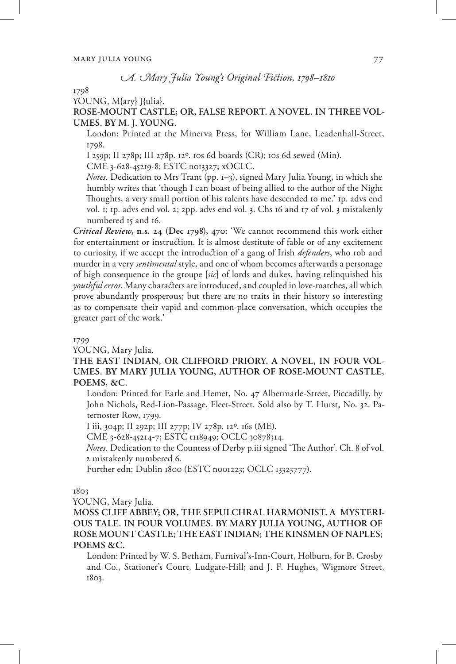## *A. Mary Julia Young's Original Fiction, 1798–1810*

1798

YOUNG, M{ary} I{ulia}.

## **ROSE-MOUNT CASTLE; OR, FALSE REPORT. A NOVEL. IN THREE VOL-UMES. BY M. J. YOUNG.**

London: Printed at the Minerva Press, for William Lane, Leadenhall-Street, 1798.

I 259p; II 278p; III 278p. 12º. 10s 6d boards (CR); 10s 6d sewed (Min).

CME 3-628-45219-8; ESTC n013327; xOCLC.

*Notes.* Dedication to Mrs Trant (pp. 1–3), signed Mary Julia Young, in which she humbly writes that 'though I can boast of being allied to the author of the Night Thoughts, a very small portion of his talents have descended to me.' 1p. advs end vol. 1; 1p. advs end vol. 2; 2pp. advs end vol. 3. Chs 16 and 17 of vol. 3 mistakenly numbered 15 and 16.

*Critical Review***, n.s. 24 (Dec 1798), 470:** 'We cannot recommend this work either for entertainment or instruction. It is almost destitute of fable or of any excitement to curiosity, if we accept the introduction of a gang of Irish *defenders*, who rob and murder in a very *sentimental* style, and one of whom becomes afterwards a personage of high consequence in the groupe [*sic*] of lords and dukes, having relinquished his *youthful error*. Many characters are introduced, and coupled in love-matches, all which prove abundantly prosperous; but there are no traits in their history so interesting as to compensate their vapid and common-place conversation, which occupies the greater part of the work.'

#### 1799

YOUNG, Mary Julia.

**THE EAST INDIAN, OR CLIFFORD PRIORY. A NOVEL, IN FOUR VOL-UMES. BY MARY JULIA YOUNG, AUTHOR OF ROSE-MOUNT CASTLE, POEMS, &C.**

London: Printed for Earle and Hemet, No. 47 Albermarle-Street, Piccadilly, by John Nichols, Red-Lion-Passage, Fleet-Street. Sold also by T. Hurst, No. 32. Paternoster Row, 1799.

I iii, 304p; II 292p; III 277p; IV 278p. 12º. 16s (ME).

CME 3-628-45214-7; ESTC t118949; OCLC 30878314.

*Notes.* Dedication to the Countess of Derby p.iii signed 'The Author'. Ch. 8 of vol. 2 mistakenly numbered 6.

Further edn: Dublin 1800 (ESTC n001223; OCLC 13323777).

#### 1803

YOUNG, Mary Julia.

**MOSS CLIFF ABBEY; OR, THE SEPULCHRAL HARMONIST. A MYSTERI-OUS TALE. IN FOUR VOLUMES. BY MARY JULIA YOUNG, AUTHOR OF ROSE MOUNT CASTLE; THE EAST INDIAN; THE KINSMEN OF NAPLES; POEMS &C.** 

London: Printed by W. S. Betham, Furnival's-Inn-Court, Holburn, for B. Crosby and Co., Stationer's Court, Ludgate-Hill; and J. F. Hughes, Wigmore Street, 1803.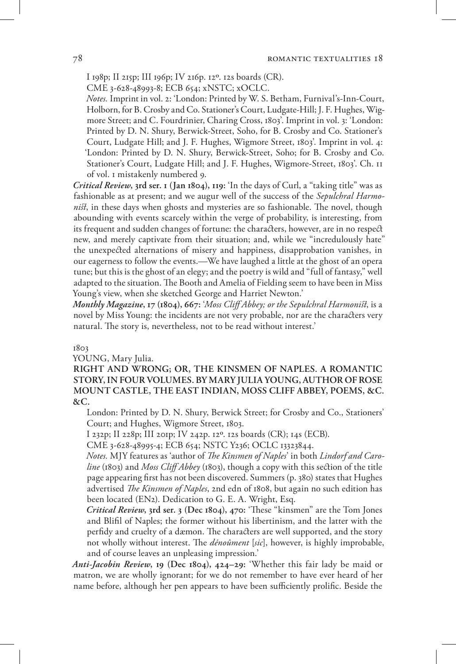I 198p; II 215p; III 196p; IV 216p. 12º. 12s boards (CR).

CME 3-628-48993-8; ECB 654; xNSTC; xOCLC.

*Notes.* Imprint in vol. 2: 'London: Printed by W. S. Betham, Furnival's-Inn-Court, Holborn, for B. Crosby and Co. Stationer's Court, Ludgate-Hill; J. F. Hughes, Wigmore Street; and C. Fourdrinier, Charing Cross, 1803'. Imprint in vol. 3: 'London: Printed by D. N. Shury, Berwick-Street, Soho, for B. Crosby and Co. Stationer's Court, Ludgate Hill; and J. F. Hughes, Wigmore Street, 1803'. Imprint in vol. 4: 'London: Printed by D. N. Shury, Berwick-Street, Soho; for B. Crosby and Co. Stationer's Court, Ludgate Hill; and J. F. Hughes, Wigmore-Street, 1803'. Ch. 11 of vol. 1 mistakenly numbered 9.

*Critical Review***, 3rd ser. 1 (Jan 1804), 119:** 'In the days of Curl, a "taking title" was as fashionable as at present; and we augur well of the success of the *Sepulchral Harmonist*, in these days when ghosts and mysteries are so fashionable. The novel, though abounding with events scarcely within the verge of probability, is interesting, from its frequent and sudden changes of fortune: the characters, however, are in no respect new, and merely captivate from their situation; and, while we "incredulously hate" the unexpected alternations of misery and happiness, disapprobation vanishes, in our eagerness to follow the events.—We have laughed a little at the ghost of an opera tune; but this is the ghost of an elegy; and the poetry is wild and "full of fantasy," well adapted to the situation. The Booth and Amelia of Fielding seem to have been in Miss Young's view, when she sketched George and Harriet Newton.'

*Monthly Magazine***, 17 (1804), 667:** '*Moss Cliff Abbey; or the Sepulchral Harmonist*, is a novel by Miss Young: the incidents are not very probable, nor are the characters very natural. The story is, nevertheless, not to be read without interest.'

#### 1803

YOUNG, Mary Julia.

**RIGHT AND WRONG; OR, THE KINSMEN OF NAPLES. A ROMANTIC STORY, IN FOUR VOLUMES. BY MARY JULIA YOUNG, AUTHOR OF ROSE MOUNT CASTLE, THE EAST INDIAN, MOSS CLIFF ABBEY, POEMS, &C. &C.**

London: Printed by D. N. Shury, Berwick Street; for Crosby and Co., Stationers' Court; and Hughes, Wigmore Street, 1803.

I 232p; II 228p; III 201p; IV 242p. 12º. 12s boards (CR); 14s (ECB).

CME 3-628-48995-4; ECB 654; NSTC Y236; OCLC 13323844.

*Notes.* MJY features as 'author of *The Kinsmen of Naples*' in both *Lindorf and Caroline* (1803) and *Moss Cliff Abbey* (1803), though a copy with this section of the title page appearing first has not been discovered. Summers (p. 380) states that Hughes advertised *The Kinsmen of Naples*, 2nd edn of 1808, but again no such edition has been located (EN2). Dedication to G. E. A. Wright, Esq.

*Critical Review***, 3rd ser. 3 (Dec 1804), 470:** 'These "kinsmen" are the Tom Jones and Blifil of Naples; the former without his libertinism, and the latter with the perfidy and cruelty of a dæmon. The characters are well supported, and the story not wholly without interest. The *dénoûment* [*sic*], however, is highly improbable, and of course leaves an unpleasing impression.'

*Anti-Jacobin Review***, 19 (Dec 1804), 424–29:** 'Whether this fair lady be maid or matron, we are wholly ignorant; for we do not remember to have ever heard of her name before, although her pen appears to have been sufficiently prolific. Beside the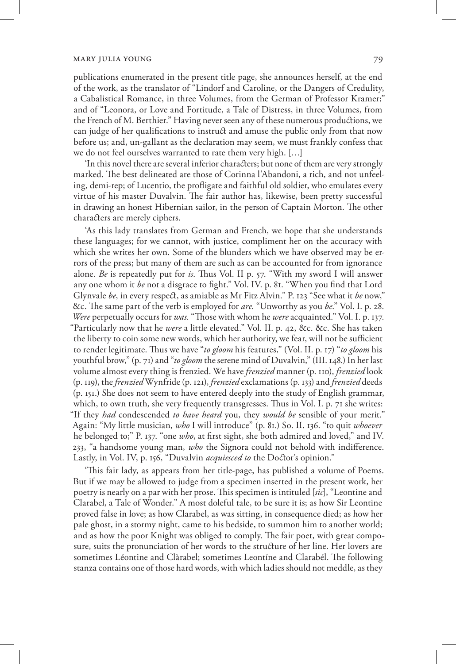publications enumerated in the present title page, she announces herself, at the end of the work, as the translator of "Lindorf and Caroline, or the Dangers of Credulity, a Cabalistical Romance, in three Volumes, from the German of Professor Kramer;" and of "Leonora, or Love and Fortitude, a Tale of Distress, in three Volumes, from the French of M. Berthier." Having never seen any of these numerous productions, we can judge of her qualifications to instruct and amuse the public only from that now before us; and, un-gallant as the declaration may seem, we must frankly confess that we do not feel ourselves warranted to rate them very high. […]

'In this novel there are several inferior characters; but none of them are very strongly marked. The best delineated are those of Corinna l'Abandoni, a rich, and not unfeeling, demi-rep; of Lucentio, the profligate and faithful old soldier, who emulates every virtue of his master Duvalvin. The fair author has, likewise, been pretty successful in drawing an honest Hibernian sailor, in the person of Captain Morton. The other characters are merely ciphers.

'As this lady translates from German and French, we hope that she understands these languages; for we cannot, with justice, compliment her on the accuracy with which she writes her own. Some of the blunders which we have observed may be errors of the press; but many of them are such as can be accounted for from ignorance alone. *Be* is repeatedly put for *is*. Thus Vol. II p. 57. "With my sword I will answer any one whom it *be* not a disgrace to fight." Vol. IV. p. 81. "When you find that Lord Glynvale *be*, in every respect, as amiable as Mr Fitz Alvin." P. 123 "See what it *be* now," &c. The same part of the verb is employed for *are*. "Unworthy as you *be*." Vol. I. p. 28. *Were* perpetually occurs for *was*. "Those with whom he *were* acquainted." Vol. I. p. 137. "Particularly now that he *were* a little elevated." Vol. II. p. 42, &c. &c. She has taken the liberty to coin some new words, which her authority, we fear, will not be sufficient to render legitimate. Thus we have "*to gloom* his features," (Vol. II. p. 17) "*to gloom* his youthful brow," (p. 71) and "*to gloom* the serene mind of Duvalvin," (III. 148.) In her last volume almost every thing is frenzied. We have *frenzied* manner (p. 110), *frenzied* look (p. 119), the *frenzied* Wynfride (p. 121), *frenzied* exclamations (p. 133) and *frenzied* deeds (p. 151.) She does not seem to have entered deeply into the study of English grammar, which, to own truth, she very frequently transgresses. Thus in Vol. I. p. 71 she writes: "If they *had* condescended *to have heard* you, they *would be* sensible of your merit." Again: "My little musician, *who* I will introduce" (p. 81.) So. II. 136. "to quit *whoever* he belonged to;" P. 137. "one *who*, at first sight, she both admired and loved," and IV. 233, "a handsome young man, *who* the Signora could not behold with indifference. Lastly, in Vol. IV, p. 156, "Duvalvin *acquiesced to* the Doctor's opinion."

'This fair lady, as appears from her title-page, has published a volume of Poems. But if we may be allowed to judge from a specimen inserted in the present work, her poetry is nearly on a par with her prose. This specimen is intituled [*sic*], "Leontine and Clarabel, a Tale of Wonder." A most doleful tale, to be sure it is; as how Sir Leontine proved false in love; as how Clarabel, as was sitting, in consequence died; as how her pale ghost, in a stormy night, came to his bedside, to summon him to another world; and as how the poor Knight was obliged to comply. The fair poet, with great composure, suits the pronunciation of her words to the structure of her line. Her lovers are sometimes Léontine and Clàrabel; sometimes Leontíne and Clarabél. The following stanza contains one of those hard words, with which ladies should not meddle, as they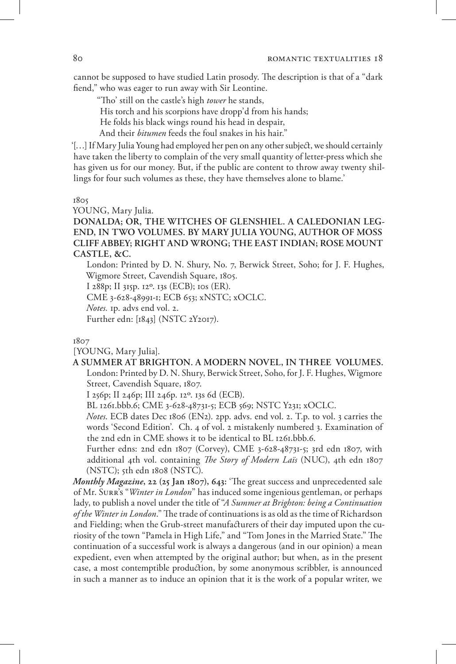cannot be supposed to have studied Latin prosody. The description is that of a "dark fiend," who was eager to run away with Sir Leontine.

"Tho' still on the castle's high *tower* he stands,

His torch and his scorpions have dropp'd from his hands;

He folds his black wings round his head in despair,

And their *bitumen* feeds the foul snakes in his hair."

'[…] If Mary Julia Young had employed her pen on any other subject, we should certainly have taken the liberty to complain of the very small quantity of letter-press which she has given us for our money. But, if the public are content to throw away twenty shillings for four such volumes as these, they have themselves alone to blame.'

1805

YOUNG, Mary Julia.

**DONALDA; OR, THE WITCHES OF GLENSHIEL. A CALEDONIAN LEG-END, IN TWO VOLUMES. BY MARY JULIA YOUNG, AUTHOR OF MOSS CLIFF ABBEY; RIGHT AND WRONG; THE EAST INDIAN; ROSE MOUNT CASTLE, &C.**

London: Printed by D. N. Shury, No. 7, Berwick Street, Soho; for J. F. Hughes, Wigmore Street, Cavendish Square, 1805.

I 288p; II 315p. 12º. 13s (ECB); 10s (ER).

CME 3-628-48991-1; ECB 653; xNSTC; xOCLC.

*Notes.* 1p. advs end vol. 2.

Further edn: [1843] (NSTC 2Y2017).

1807

[YOUNG, Mary Julia].

## **A SUMMER AT BRIGHTON. A MODERN NOVEL, IN THREE VOLUMES.**

London: Printed by D. N. Shury, Berwick Street, Soho, for J. F. Hughes, Wigmore Street, Cavendish Square, 1807.

I 256p; II 246p; III 246p. 12º. 13s 6d (ECB).

BL 1261.bbb.6; CME 3-628-48731-5; ECB 569; NSTC Y231; xOCLC.

*Notes*. ECB dates Dec 1806 (EN2). 2pp. advs. end vol. 2. T.p. to vol. 3 carries the words 'Second Edition'. Ch. 4 of vol. 2 mistakenly numbered 3. Examination of the 2nd edn in CME shows it to be identical to BL 1261.bbb.6.

Further edns: 2nd edn 1807 (Corvey), CME 3-628-48731-5; 3rd edn 1807, with additional 4th vol. containing *The Story of Modern Laïs* (NUC), 4th edn 1807  $(NSTC)$ ; 5th edn 1808  $(NSTC)$ .

*Monthly Magazine***, 22 (25 Jan 1807), 643:** 'The great success and unprecedented sale of Mr. Surr's "*Winter in London*" has induced some ingenious gentleman, or perhaps lady, to publish a novel under the title of "*A Summer at Brighton: being a Continuation of the Winter in London*." The trade of continuations is as old as the time of Richardson and Fielding; when the Grub-street manufacturers of their day imputed upon the curiosity of the town "Pamela in High Life," and "Tom Jones in the Married State." The continuation of a successful work is always a dangerous (and in our opinion) a mean expedient, even when attempted by the original author; but when, as in the present case, a most contemptible production, by some anonymous scribbler, is announced in such a manner as to induce an opinion that it is the work of a popular writer, we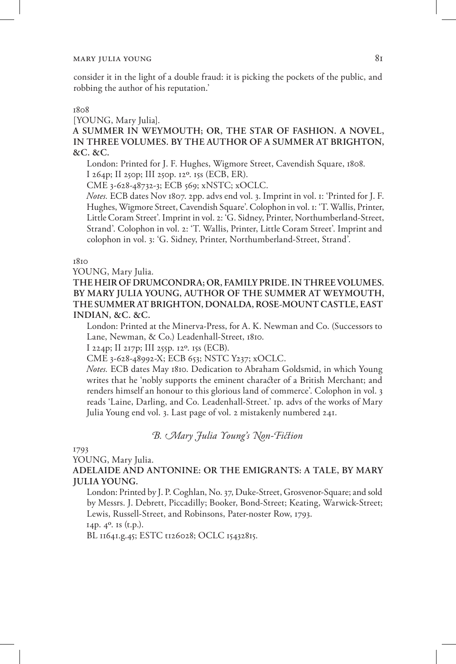consider it in the light of a double fraud: it is picking the pockets of the public, and robbing the author of his reputation.'

#### 1808

[YOUNG, Mary Julia].

**A SUMMER IN WEYMOUTH; OR, THE STAR OF FASHION. A NOVEL, IN THREE VOLUMES. BY THE AUTHOR OF A SUMMER AT BRIGHTON, &C. &C.**

London: Printed for J. F. Hughes, Wigmore Street, Cavendish Square, 1808. I 264p; II 250p; III 250p. 12º. 15s (ECB, ER).

CME 3-628-48732-3; ECB 569; xNSTC; xOCLC.

*Notes.* ECB dates Nov 1807. 2pp. advs end vol. 3. Imprint in vol. 1: 'Printed for J. F. Hughes, Wigmore Street, Cavendish Square'. Colophon in vol. 1: 'T. Wallis, Printer, Little Coram Street'. Imprint in vol. 2: 'G. Sidney, Printer, Northumberland-Street, Strand'. Colophon in vol. 2: 'T. Wallis, Printer, Little Coram Street'. Imprint and colophon in vol. 3: 'G. Sidney, Printer, Northumberland-Street, Strand'.

1810

YOUNG, Mary Julia.

**THE HEIR OF DRUMCONDRA; OR, FAMILY PRIDE. IN THREE VOLUMES. BY MARY JULIA YOUNG, AUTHOR OF THE SUMMER AT WEYMOUTH, THE SUMMER AT BRIGHTON, DONALDA, ROSE-MOUNT CASTLE, EAST INDIAN, &C. &C.**

London: Printed at the Minerva-Press, for A. K. Newman and Co. (Successors to Lane, Newman, & Co.) Leadenhall-Street, 1810.

I 224p; II 217p; III 255p. 12º. 15s (ECB).

CME 3-628-48992-X; ECB 653; NSTC Y237; xOCLC.

*Notes.* ECB dates May 1810. Dedication to Abraham Goldsmid, in which Young writes that he 'nobly supports the eminent character of a British Merchant; and renders himself an honour to this glorious land of commerce'. Colophon in vol. 3 reads 'Laine, Darling, and Co. Leadenhall-Street.' 1p. advs of the works of Mary Julia Young end vol. 3. Last page of vol. 2 mistakenly numbered 241.

*B. Mary Julia Young's Non-Fiction*

1793

YOUNG, Mary Julia.

**ADELAIDE AND ANTONINE: OR THE EMIGRANTS: A TALE, BY MARY JULIA YOUNG.**

London: Printed by J. P. Coghlan, No. 37, Duke-Street, Grosvenor-Square; and sold by Messrs. J. Debrett, Piccadilly; Booker, Bond-Street; Keating, Warwick-Street; Lewis, Russell-Street, and Robinsons, Pater-noster Row, 1793.

14p. 4º. 1s (t.p.).

BL 11641.g.45; ESTC t126028; OCLC 15432815.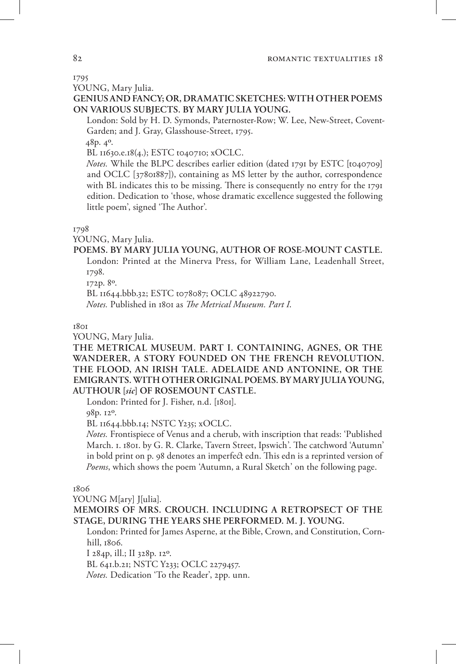## 1795

YOUNG, Mary Julia.

**GENIUS AND FANCY; OR, DRAMATIC SKETCHES: WITH OTHER POEMS ON VARIOUS SUBJECTS. BY MARY JULIA YOUNG.**

London: Sold by H. D. Symonds, Paternoster-Row; W. Lee, New-Street, Covent-Garden; and J. Gray, Glasshouse-Street, 1795.

48p. 4º.

BL 11630.e.18(4.); ESTC t040710; xOCLC.

*Notes.* While the BLPC describes earlier edition (dated 1791 by ESTC [t040709] and OCLC [37801887]), containing as MS letter by the author, correspondence with BL indicates this to be missing. There is consequently no entry for the 1791 edition. Dedication to 'those, whose dramatic excellence suggested the following little poem', signed 'The Author'.

#### 1798

YOUNG, Mary Julia.

## **POEMS. BY MARY JULIA YOUNG, AUTHOR OF ROSE-MOUNT CASTLE.**

London: Printed at the Minerva Press, for William Lane, Leadenhall Street, 1798.

172p. 8º.

BL 11644.bbb.32; ESTC t078087; OCLC 48922790.

*Notes.* Published in 1801 as *The Metrical Museum. Part I*.

#### 18<sub>01</sub>

YOUNG, Mary Julia.

**THE METRICAL MUSEUM. PART I. CONTAINING, AGNES, OR THE WANDERER, A STORY FOUNDED ON THE FRENCH REVOLUTION. THE FLOOD, AN IRISH TALE. ADELAIDE AND ANTONINE, OR THE EMIGRANTS. WITH OTHER ORIGINAL POEMS. BY MARY JULIA YOUNG, AUTHOUR [***sic***] OF ROSEMOUNT CASTLE.**

London: Printed for J. Fisher, n.d. [1801].

98p. 12º.

BL 11644.bbb.14; NSTC Y235; xOCLC.

*Notes.* Frontispiece of Venus and a cherub, with inscription that reads: 'Published March. 1. 1801. by G. R. Clarke, Tavern Street, Ipswich'. The catchword 'Autumn' in bold print on p. 98 denotes an imperfect edn. This edn is a reprinted version of *Poems*, which shows the poem 'Autumn, a Rural Sketch' on the following page.

1806

YOUNG M[ary] *[[ulia]*.

**MEMOIRS OF MRS. CROUCH. INCLUDING A RETROPSECT OF THE STAGE, DURING THE YEARS SHE PERFORMED. M. J. YOUNG.**

London: Printed for James Asperne, at the Bible, Crown, and Constitution, Cornhill, 1806.

I 284p, ill.; II 328p. 12º.

BL 641.b.21; NSTC Y233; OCLC 2279457.

*Notes.* Dedication 'To the Reader', 2pp. unn.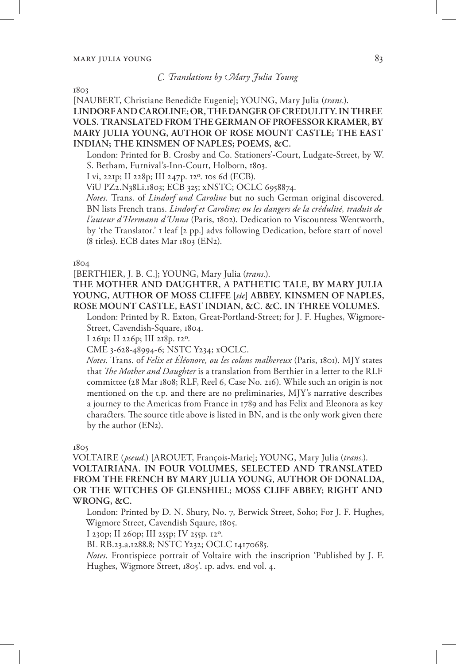## *C. Translations by Mary Julia Young*

1803

[NAUBERT, Christiane Benedicte Eugenie]; YOUNG, Mary Julia (*trans.*). **LINDORF AND CAROLINE; OR, THE DANGER OF CREDULITY. IN THREE VOLS. TRANSLATED FROM THE GERMAN OF PROFESSOR KRAMER, BY MARY JULIA YOUNG, AUTHOR OF ROSE MOUNT CASTLE; THE EAST INDIAN; THE KINSMEN OF NAPLES; POEMS, &C.**

London: Printed for B. Crosby and Co. Stationers'-Court, Ludgate-Street, by W. S. Betham, Furnival's-Inn-Court, Holborn, 1803.

I vi, 221p; II 228p; III 247p. 12º. 10s 6d (ECB).

ViU PZ2.N38Li.1803; ECB 325; xNSTC; OCLC 6958874.

*Notes.* Trans. of *Lindorf und Caroline* but no such German original discovered. BN lists French trans. *Lindorf et Caroline; ou les dangers de la crédulité, traduit de l'auteur d'Hermann d'Unna* (Paris, 1802). Dedication to Viscountess Wentworth, by 'the Translator.' 1 leaf [2 pp.] advs following Dedication, before start of novel (8 titles). ECB dates Mar 1803 (EN2).

1804

[BERTHIER, J. B. C.]; YOUNG, Mary Julia (*trans.*).

**THE MOTHER AND DAUGHTER, A PATHETIC TALE, BY MARY JULIA YOUNG, AUTHOR OF MOSS CLIFFE [***sic***] ABBEY, KINSMEN OF NAPLES, ROSE MOUNT CASTLE, EAST INDIAN, &C. &C. IN THREE VOLUMES.**

London: Printed by R. Exton, Great-Portland-Street; for J. F. Hughes, Wigmore-Street, Cavendish-Square, 1804.

I 261p; II 226p; III 218p. 12º.

CME 3-628-48994-6; NSTC Y234; xOCLC.

*Notes.* Trans. of *Felix et Éléonore, ou les colons malhereux* (Paris, 1801). MJY states that *The Mother and Daughter* is a translation from Berthier in a letter to the RLF committee (28 Mar 1808; RLF, Reel 6, Case No. 216). While such an origin is not mentioned on the t.p. and there are no preliminaries, MJY's narrative describes a journey to the Americas from France in 1789 and has Felix and Eleonora as key characters. The source title above is listed in BN, and is the only work given there by the author (EN2).

1805

VOLTAIRE (*pseud*.) [AROUET, François-Marie]; YOUNG, Mary Julia (*trans.*). **VOLTAIRIANA. IN FOUR VOLUMES, SELECTED AND TRANSLATED FROM THE FRENCH BY MARY JULIA YOUNG, AUTHOR OF DONALDA, OR THE WITCHES OF GLENSHIEL; MOSS CLIFF ABBEY; RIGHT AND WRONG, &C.**

London: Printed by D. N. Shury, No. 7, Berwick Street, Soho; For J. F. Hughes, Wigmore Street, Cavendish Sqaure, 1805.

I 230p; II 260p; III 255p; IV 255p. 12º.

BL RB.23.a.1288.8; NSTC Y232; OCLC 14170685.

*Notes.* Frontispiece portrait of Voltaire with the inscription 'Published by J. F. Hughes, Wigmore Street, 1805'. 1p. advs. end vol. 4.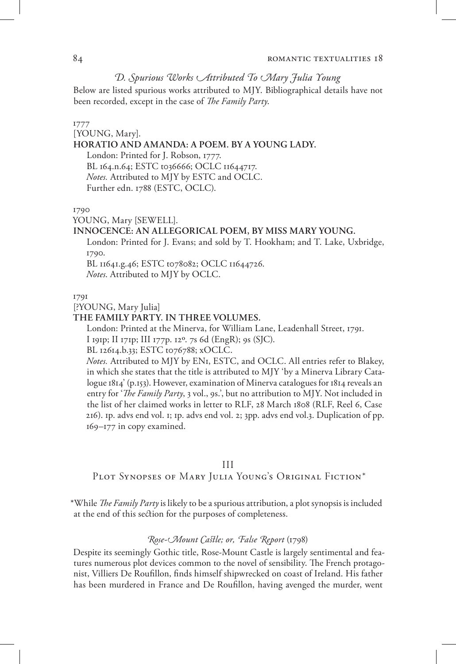## *D. Spurious Works Attributed To Mary Julia Young*

Below are listed spurious works attributed to MJY. Bibliographical details have not been recorded, except in the case of *The Family Party*.

#### 1777

[YOUNG, Mary].

## **HORATIO AND AMANDA: A POEM. BY A YOUNG LADY.**

London: Printed for J. Robson, 1777. BL 164.n.64; ESTC t036666; OCLC 11644717. *Notes.* Attributed to MJY by ESTC and OCLC. Further edn. 1788 (ESTC, OCLC).

1790

YOUNG, Mary [SEWELL].

## **INNOCENCE: AN ALLEGORICAL POEM, BY MISS MARY YOUNG.**

London: Printed for J. Evans; and sold by T. Hookham; and T. Lake, Uxbridge, 1790.

BL 11641.g.46; ESTC t078082; OCLC 11644726. *Notes*. Attributed to MJY by OCLC.

1791

#### [?YOUNG, Mary Julia]

## **THE FAMILY PARTY. IN THREE VOLUMES.**

London: Printed at the Minerva, for William Lane, Leadenhall Street, 1791.

I 191p; II 171p; III 177p. 12º. 7s 6d (EngR); 9s (SJC).

BL 12614.b.33; ESTC t076788; xOCLC.

*Notes.* Attributed to MJY by EN1, ESTC, and OCLC. All entries refer to Blakey, in which she states that the title is attributed to MJY 'by a Minerva Library Catalogue 1814' (p.153). However, examination of Minerva catalogues for 1814 reveals an entry for '*The Family Party*, 3 vol., 9s.', but no attribution to MJY. Not included in the list of her claimed works in letter to RLF, 28 March 1808 (RLF, Reel 6, Case 216). 1p. advs end vol. 1; 1p. advs end vol. 2; 3pp. advs end vol.3. Duplication of pp. 169–177 in copy examined.

## III

Plot Synopses of Mary Julia Young's Original Fiction\*

\*While *The Family Party* is likely to be a spurious attribution, a plot synopsis is included at the end of this section for the purposes of completeness.

## *Rose-Mount Castle; or, False Report* (1798)

Despite its seemingly Gothic title, Rose-Mount Castle is largely sentimental and features numerous plot devices common to the novel of sensibility. The French protagonist, Villiers De Roufillon, finds himself shipwrecked on coast of Ireland. His father has been murdered in France and De Roufillon, having avenged the murder, went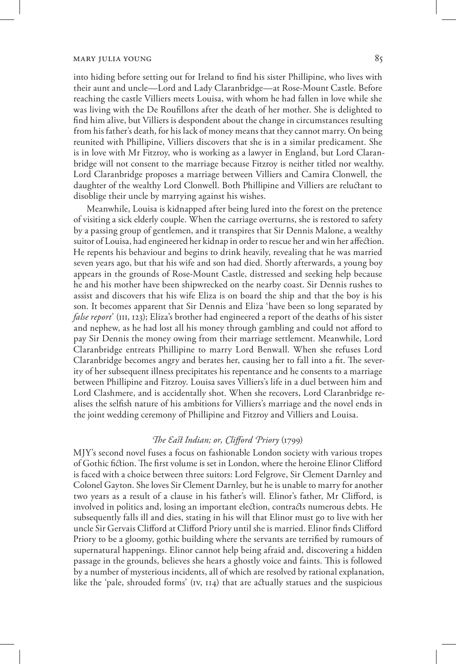into hiding before setting out for Ireland to find his sister Phillipine, who lives with their aunt and uncle—Lord and Lady Claranbridge—at Rose-Mount Castle. Before reaching the castle Villiers meets Louisa, with whom he had fallen in love while she was living with the De Roufillons after the death of her mother. She is delighted to find him alive, but Villiers is despondent about the change in circumstances resulting from his father's death, for his lack of money means that they cannot marry. On being reunited with Phillipine, Villiers discovers that she is in a similar predicament. She is in love with Mr Fitzroy, who is working as a lawyer in England, but Lord Claranbridge will not consent to the marriage because Fitzroy is neither titled nor wealthy. Lord Claranbridge proposes a marriage between Villiers and Camira Clonwell, the daughter of the wealthy Lord Clonwell. Both Phillipine and Villiers are reluctant to disoblige their uncle by marrying against his wishes.

Meanwhile, Louisa is kidnapped after being lured into the forest on the pretence of visiting a sick elderly couple. When the carriage overturns, she is restored to safety by a passing group of gentlemen, and it transpires that Sir Dennis Malone, a wealthy suitor of Louisa, had engineered her kidnap in order to rescue her and win her affection. He repents his behaviour and begins to drink heavily, revealing that he was married seven years ago, but that his wife and son had died. Shortly afterwards, a young boy appears in the grounds of Rose-Mount Castle, distressed and seeking help because he and his mother have been shipwrecked on the nearby coast. Sir Dennis rushes to assist and discovers that his wife Eliza is on board the ship and that the boy is his son. It becomes apparent that Sir Dennis and Eliza 'have been so long separated by *false report*' (III, 123); Eliza's brother had engineered a report of the deaths of his sister and nephew, as he had lost all his money through gambling and could not afford to pay Sir Dennis the money owing from their marriage settlement. Meanwhile, Lord Claranbridge entreats Phillipine to marry Lord Benwall. When she refuses Lord Claranbridge becomes angry and berates her, causing her to fall into a fit. The severity of her subsequent illness precipitates his repentance and he consents to a marriage between Phillipine and Fitzroy. Louisa saves Villiers's life in a duel between him and Lord Clashmere, and is accidentally shot. When she recovers, Lord Claranbridge realises the selfish nature of his ambitions for Villiers's marriage and the novel ends in the joint wedding ceremony of Phillipine and Fitzroy and Villiers and Louisa.

#### *The East Indian; or, Clifford Priory* (1799)

MJY's second novel fuses a focus on fashionable London society with various tropes of Gothic fiction. The first volume is set in London, where the heroine Elinor Clifford is faced with a choice between three suitors: Lord Felgrove, Sir Clement Darnley and Colonel Gayton. She loves Sir Clement Darnley, but he is unable to marry for another two years as a result of a clause in his father's will. Elinor's father, Mr Clifford, is involved in politics and, losing an important election, contracts numerous debts. He subsequently falls ill and dies, stating in his will that Elinor must go to live with her uncle Sir Gervais Clifford at Clifford Priory until she is married. Elinor finds Clifford Priory to be a gloomy, gothic building where the servants are terrified by rumours of supernatural happenings. Elinor cannot help being afraid and, discovering a hidden passage in the grounds, believes she hears a ghostly voice and faints. This is followed by a number of mysterious incidents, all of which are resolved by rational explanation, like the 'pale, shrouded forms' (iv, 114) that are actually statues and the suspicious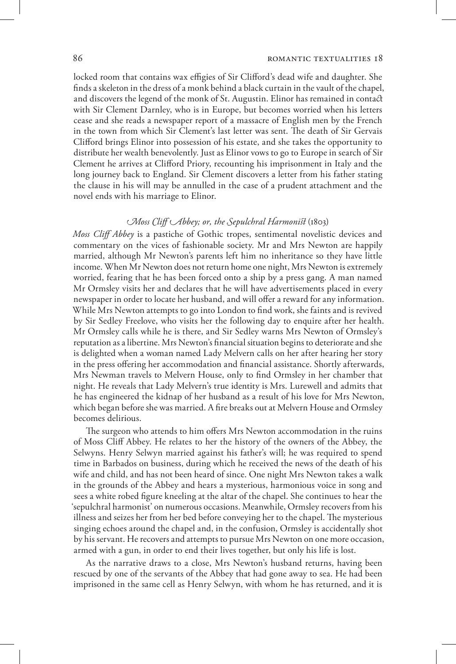locked room that contains wax effigies of Sir Clifford's dead wife and daughter. She finds a skeleton in the dress of a monk behind a black curtain in the vault of the chapel, and discovers the legend of the monk of St. Augustin. Elinor has remained in contact with Sir Clement Darnley, who is in Europe, but becomes worried when his letters cease and she reads a newspaper report of a massacre of English men by the French in the town from which Sir Clement's last letter was sent. The death of Sir Gervais Clifford brings Elinor into possession of his estate, and she takes the opportunity to distribute her wealth benevolently. Just as Elinor vows to go to Europe in search of Sir Clement he arrives at Clifford Priory, recounting his imprisonment in Italy and the long journey back to England. Sir Clement discovers a letter from his father stating the clause in his will may be annulled in the case of a prudent attachment and the novel ends with his marriage to Elinor.

## *Moss Cliff Abbey; or, the Sepulchral Harmonist* (1803)

*Moss Cliff Abbey* is a pastiche of Gothic tropes, sentimental novelistic devices and commentary on the vices of fashionable society. Mr and Mrs Newton are happily married, although Mr Newton's parents left him no inheritance so they have little income. When Mr Newton does not return home one night, Mrs Newton is extremely worried, fearing that he has been forced onto a ship by a press gang. A man named Mr Ormsley visits her and declares that he will have advertisements placed in every newspaper in order to locate her husband, and will offer a reward for any information. While Mrs Newton attempts to go into London to find work, she faints and is revived by Sir Sedley Freelove, who visits her the following day to enquire after her health. Mr Ormsley calls while he is there, and Sir Sedley warns Mrs Newton of Ormsley's reputation as a libertine. Mrs Newton's financial situation begins to deteriorate and she is delighted when a woman named Lady Melvern calls on her after hearing her story in the press offering her accommodation and financial assistance. Shortly afterwards, Mrs Newman travels to Melvern House, only to find Ormsley in her chamber that night. He reveals that Lady Melvern's true identity is Mrs. Lurewell and admits that he has engineered the kidnap of her husband as a result of his love for Mrs Newton, which began before she was married. A fire breaks out at Melvern House and Ormsley becomes delirious.

The surgeon who attends to him offers Mrs Newton accommodation in the ruins of Moss Cliff Abbey. He relates to her the history of the owners of the Abbey, the Selwyns. Henry Selwyn married against his father's will; he was required to spend time in Barbados on business, during which he received the news of the death of his wife and child, and has not been heard of since. One night Mrs Newton takes a walk in the grounds of the Abbey and hears a mysterious, harmonious voice in song and sees a white robed figure kneeling at the altar of the chapel. She continues to hear the 'sepulchral harmonist' on numerous occasions. Meanwhile, Ormsley recovers from his illness and seizes her from her bed before conveying her to the chapel. The mysterious singing echoes around the chapel and, in the confusion, Ormsley is accidentally shot by his servant. He recovers and attempts to pursue Mrs Newton on one more occasion, armed with a gun, in order to end their lives together, but only his life is lost.

As the narrative draws to a close, Mrs Newton's husband returns, having been rescued by one of the servants of the Abbey that had gone away to sea. He had been imprisoned in the same cell as Henry Selwyn, with whom he has returned, and it is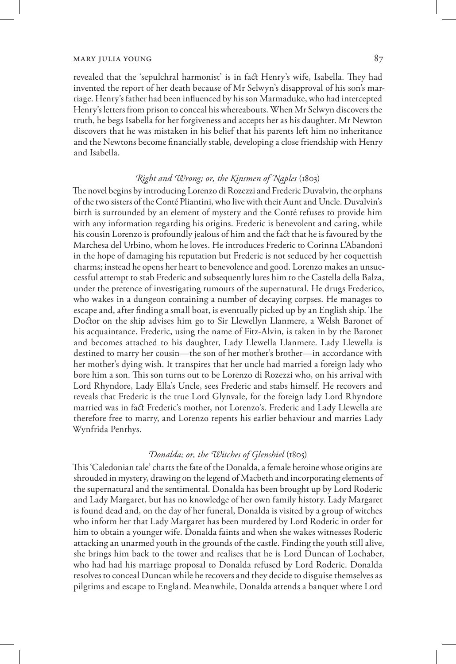revealed that the 'sepulchral harmonist' is in fact Henry's wife, Isabella. They had invented the report of her death because of Mr Selwyn's disapproval of his son's marriage. Henry's father had been influenced by his son Marmaduke, who had intercepted Henry's letters from prison to conceal his whereabouts. When Mr Selwyn discovers the truth, he begs Isabella for her forgiveness and accepts her as his daughter. Mr Newton discovers that he was mistaken in his belief that his parents left him no inheritance and the Newtons become financially stable, developing a close friendship with Henry and Isabella.

## *Right and Wrong; or, the Kinsmen of Naples* (1803)

The novel begins by introducing Lorenzo di Rozezzi and Frederic Duvalvin, the orphans of the two sisters of the Conté Pliantini, who live with their Aunt and Uncle. Duvalvin's birth is surrounded by an element of mystery and the Conté refuses to provide him with any information regarding his origins. Frederic is benevolent and caring, while his cousin Lorenzo is profoundly jealous of him and the fact that he is favoured by the Marchesa del Urbino, whom he loves. He introduces Frederic to Corinna L'Abandoni in the hope of damaging his reputation but Frederic is not seduced by her coquettish charms; instead he opens her heart to benevolence and good. Lorenzo makes an unsuccessful attempt to stab Frederic and subsequently lures him to the Castella della Balza, under the pretence of investigating rumours of the supernatural. He drugs Frederico, who wakes in a dungeon containing a number of decaying corpses. He manages to escape and, after finding a small boat, is eventually picked up by an English ship. The Doctor on the ship advises him go to Sir Llewellyn Llanmere, a Welsh Baronet of his acquaintance. Frederic, using the name of Fitz-Alvin, is taken in by the Baronet and becomes attached to his daughter, Lady Llewella Llanmere. Lady Llewella is destined to marry her cousin—the son of her mother's brother—in accordance with her mother's dying wish. It transpires that her uncle had married a foreign lady who bore him a son. This son turns out to be Lorenzo di Rozezzi who, on his arrival with Lord Rhyndore, Lady Ella's Uncle, sees Frederic and stabs himself. He recovers and reveals that Frederic is the true Lord Glynvale, for the foreign lady Lord Rhyndore married was in fact Frederic's mother, not Lorenzo's. Frederic and Lady Llewella are therefore free to marry, and Lorenzo repents his earlier behaviour and marries Lady Wynfrida Penrhys.

## *Donalda; or, the Witches of Glenshiel* (1805)

This 'Caledonian tale' charts the fate of the Donalda, a female heroine whose origins are shrouded in mystery, drawing on the legend of Macbeth and incorporating elements of the supernatural and the sentimental. Donalda has been brought up by Lord Roderic and Lady Margaret, but has no knowledge of her own family history. Lady Margaret is found dead and, on the day of her funeral, Donalda is visited by a group of witches who inform her that Lady Margaret has been murdered by Lord Roderic in order for him to obtain a younger wife. Donalda faints and when she wakes witnesses Roderic attacking an unarmed youth in the grounds of the castle. Finding the youth still alive, she brings him back to the tower and realises that he is Lord Duncan of Lochaber, who had had his marriage proposal to Donalda refused by Lord Roderic. Donalda resolves to conceal Duncan while he recovers and they decide to disguise themselves as pilgrims and escape to England. Meanwhile, Donalda attends a banquet where Lord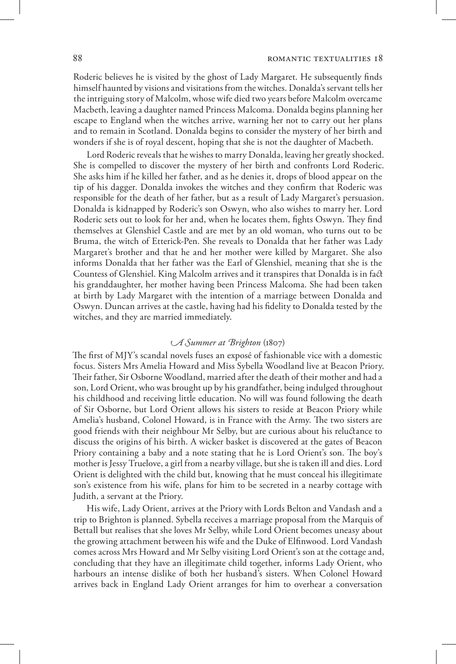Roderic believes he is visited by the ghost of Lady Margaret. He subsequently finds himself haunted by visions and visitations from the witches. Donalda's servant tells her the intriguing story of Malcolm, whose wife died two years before Malcolm overcame Macbeth, leaving a daughter named Princess Malcoma. Donalda begins planning her escape to England when the witches arrive, warning her not to carry out her plans and to remain in Scotland. Donalda begins to consider the mystery of her birth and wonders if she is of royal descent, hoping that she is not the daughter of Macbeth.

Lord Roderic reveals that he wishes to marry Donalda, leaving her greatly shocked. She is compelled to discover the mystery of her birth and confronts Lord Roderic. She asks him if he killed her father, and as he denies it, drops of blood appear on the tip of his dagger. Donalda invokes the witches and they confirm that Roderic was responsible for the death of her father, but as a result of Lady Margaret's persuasion. Donalda is kidnapped by Roderic's son Oswyn, who also wishes to marry her. Lord Roderic sets out to look for her and, when he locates them, fights Oswyn. They find themselves at Glenshiel Castle and are met by an old woman, who turns out to be Bruma, the witch of Etterick-Pen. She reveals to Donalda that her father was Lady Margaret's brother and that he and her mother were killed by Margaret. She also informs Donalda that her father was the Earl of Glenshiel, meaning that she is the Countess of Glenshiel. King Malcolm arrives and it transpires that Donalda is in fact his granddaughter, her mother having been Princess Malcoma. She had been taken at birth by Lady Margaret with the intention of a marriage between Donalda and Oswyn. Duncan arrives at the castle, having had his fidelity to Donalda tested by the witches, and they are married immediately.

## *A Summer at Brighton* (1807)

The first of MJY's scandal novels fuses an exposé of fashionable vice with a domestic focus. Sisters Mrs Amelia Howard and Miss Sybella Woodland live at Beacon Priory. Their father, Sir Osborne Woodland, married after the death of their mother and had a son, Lord Orient, who was brought up by his grandfather, being indulged throughout his childhood and receiving little education. No will was found following the death of Sir Osborne, but Lord Orient allows his sisters to reside at Beacon Priory while Amelia's husband, Colonel Howard, is in France with the Army. The two sisters are good friends with their neighbour Mr Selby, but are curious about his reluctance to discuss the origins of his birth. A wicker basket is discovered at the gates of Beacon Priory containing a baby and a note stating that he is Lord Orient's son. The boy's mother is Jessy Truelove, a girl from a nearby village, but she is taken ill and dies. Lord Orient is delighted with the child but, knowing that he must conceal his illegitimate son's existence from his wife, plans for him to be secreted in a nearby cottage with Judith, a servant at the Priory.

His wife, Lady Orient, arrives at the Priory with Lords Belton and Vandash and a trip to Brighton is planned. Sybella receives a marriage proposal from the Marquis of Bettall but realises that she loves Mr Selby, while Lord Orient becomes uneasy about the growing attachment between his wife and the Duke of Elfinwood. Lord Vandash comes across Mrs Howard and Mr Selby visiting Lord Orient's son at the cottage and, concluding that they have an illegitimate child together, informs Lady Orient, who harbours an intense dislike of both her husband's sisters. When Colonel Howard arrives back in England Lady Orient arranges for him to overhear a conversation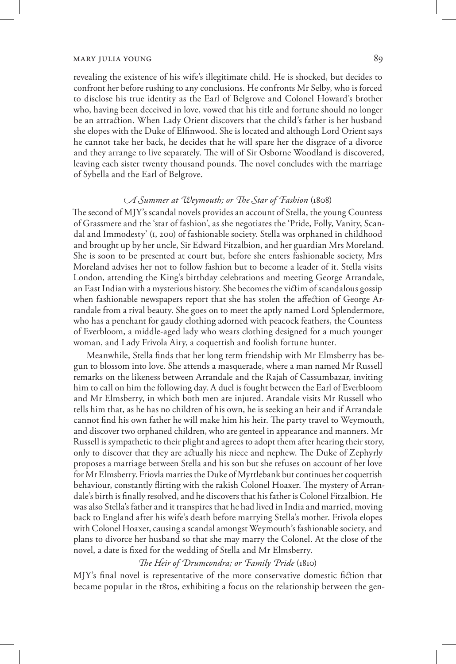revealing the existence of his wife's illegitimate child. He is shocked, but decides to confront her before rushing to any conclusions. He confronts Mr Selby, who is forced to disclose his true identity as the Earl of Belgrove and Colonel Howard's brother who, having been deceived in love, vowed that his title and fortune should no longer be an attraction. When Lady Orient discovers that the child's father is her husband she elopes with the Duke of Elfinwood. She is located and although Lord Orient says he cannot take her back, he decides that he will spare her the disgrace of a divorce and they arrange to live separately. The will of Sir Osborne Woodland is discovered, leaving each sister twenty thousand pounds. The novel concludes with the marriage of Sybella and the Earl of Belgrove.

## *A Summer at Weymouth; or The Star of Fashion* (1808)

The second of MJY's scandal novels provides an account of Stella, the young Countess of Grassmere and the 'star of fashion', as she negotiates the 'Pride, Folly, Vanity, Scandal and Immodesty' (i, 200) of fashionable society. Stella was orphaned in childhood and brought up by her uncle, Sir Edward Fitzalbion, and her guardian Mrs Moreland. She is soon to be presented at court but, before she enters fashionable society, Mrs Moreland advises her not to follow fashion but to become a leader of it. Stella visits London, attending the King's birthday celebrations and meeting George Arrandale, an East Indian with a mysterious history. She becomes the victim of scandalous gossip when fashionable newspapers report that she has stolen the affection of George Arrandale from a rival beauty. She goes on to meet the aptly named Lord Splendermore, who has a penchant for gaudy clothing adorned with peacock feathers, the Countess of Everbloom, a middle-aged lady who wears clothing designed for a much younger woman, and Lady Frivola Airy, a coquettish and foolish fortune hunter.

Meanwhile, Stella finds that her long term friendship with Mr Elmsberry has begun to blossom into love. She attends a masquerade, where a man named Mr Russell remarks on the likeness between Arrandale and the Rajah of Cassumbazar, inviting him to call on him the following day. A duel is fought between the Earl of Everbloom and Mr Elmsberry, in which both men are injured. Arandale visits Mr Russell who tells him that, as he has no children of his own, he is seeking an heir and if Arrandale cannot find his own father he will make him his heir. The party travel to Weymouth, and discover two orphaned children, who are genteel in appearance and manners. Mr Russell is sympathetic to their plight and agrees to adopt them after hearing their story, only to discover that they are actually his niece and nephew. The Duke of Zephyrly proposes a marriage between Stella and his son but she refuses on account of her love for Mr Elmsberry. Friovla marries the Duke of Myrtlebank but continues her coquettish behaviour, constantly flirting with the rakish Colonel Hoaxer. The mystery of Arrandale's birth is finally resolved, and he discovers that his father is Colonel Fitzalbion. He was also Stella's father and it transpires that he had lived in India and married, moving back to England after his wife's death before marrying Stella's mother. Frivola elopes with Colonel Hoaxer, causing a scandal amongst Weymouth's fashionable society, and plans to divorce her husband so that she may marry the Colonel. At the close of the novel, a date is fixed for the wedding of Stella and Mr Elmsberry.

#### *The Heir of Drumcondra; or Family Pride* (1810)

MJY's final novel is representative of the more conservative domestic fiction that became popular in the 1810s, exhibiting a focus on the relationship between the gen-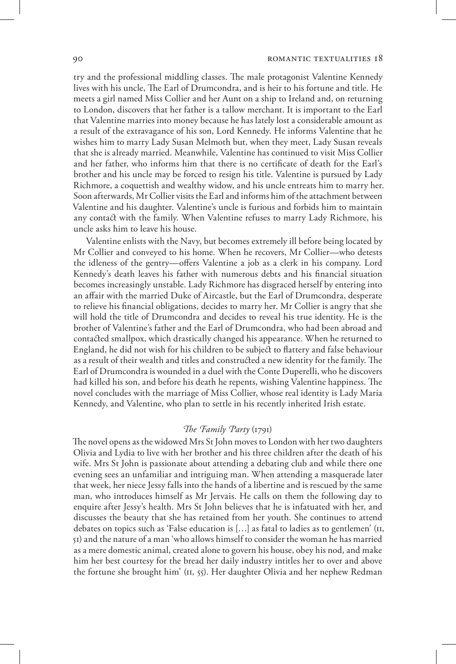#### 90 **ROMANTIC TEXTUALITIES 18**

try and the professional middling classes. The male protagonist Valentine Kennedy lives with his uncle, The Earl of Drumcondra, and is heir to his fortune and title. He meets a girl named Miss Collier and her Aunt on a ship to Ireland and, on returning to London, discovers that her father is a tallow merchant. It is important to the Earl that Valentine marries into money because he has lately lost a considerable amount as a result of the extravagance of his son, Lord Kennedy. He informs Valentine that he wishes him to marry Lady Susan Melmoth but, when they meet, Lady Susan reveals that she is already married. Meanwhile, Valentine has continued to visit Miss Collier and her father, who informs him that there is no certificate of death for the Earl's brother and his uncle may be forced to resign his title. Valentine is pursued by Lady Richmore, a coquettish and wealthy widow, and his uncle entreats him to marry her. Soon afterwards, Mr Collier visits the Earl and informs him of the attachment between Valentine and his daughter. Valentine's uncle is furious and forbids him to maintain any contact with the family. When Valentine refuses to marry Lady Richmore, his uncle asks him to leave his house.

Valentine enlists with the Navy, but becomes extremely ill before being located by Mr Collier and conveyed to his home. When he recovers, Mr Collier—who detests the idleness of the gentry—offers Valentine a job as a clerk in his company. Lord Kennedy's death leaves his father with numerous debts and his financial situation becomes increasingly unstable. Lady Richmore has disgraced herself by entering into an affair with the married Duke of Aircastle, but the Earl of Drumcondra, desperate to relieve his financial obligations, decides to marry her. Mr Collier is angry that she will hold the title of Drumcondra and decides to reveal his true identity. He is the brother of Valentine's father and the Earl of Drumcondra, who had been abroad and contacted smallpox, which drastically changed his appearance. When he returned to England, he did not wish for his children to be subject to flattery and false behaviour as a result of their wealth and titles and constructed a new identity for the family. The Earl of Drumcondra is wounded in a duel with the Conte Duperelli, who he discovers had killed his son, and before his death he repents, wishing Valentine happiness. The novel concludes with the marriage of Miss Collier, whose real identity is Lady Maria Kennedy, and Valentine, who plan to settle in his recently inherited Irish estate.

## *The Family Party* (1791)

The novel opens as the widowed Mrs St John moves to London with her two daughters Olivia and Lydia to live with her brother and his three children after the death of his wife. Mrs St John is passionate about attending a debating club and while there one evening sees an unfamiliar and intriguing man. When attending a masquerade later that week, her niece Jessy falls into the hands of a libertine and is rescued by the same man, who introduces himself as Mr Jervais. He calls on them the following day to enquire after Jessy's health. Mrs St John believes that he is infatuated with her, and discusses the beauty that she has retained from her youth. She continues to attend debates on topics such as 'False education is […] as fatal to ladies as to gentlemen' (ii, 51) and the nature of a man 'who allows himself to consider the woman he has married as a mere domestic animal, created alone to govern his house, obey his nod, and make him her best courtesy for the bread her daily industry intitles her to over and above the fortune she brought him' (ii, 55). Her daughter Olivia and her nephew Redman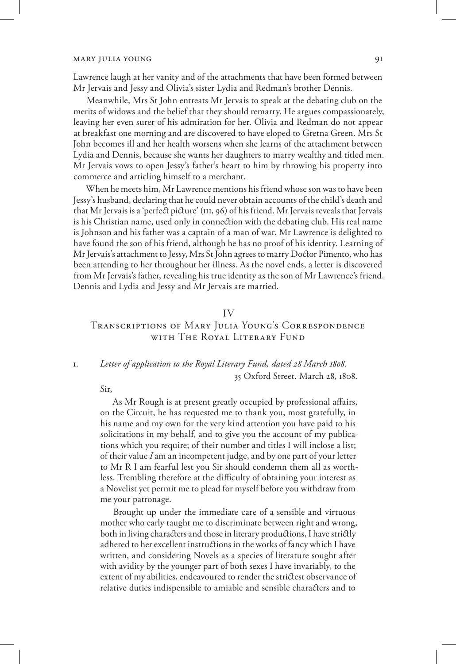Lawrence laugh at her vanity and of the attachments that have been formed between Mr Jervais and Jessy and Olivia's sister Lydia and Redman's brother Dennis.

Meanwhile, Mrs St John entreats Mr Jervais to speak at the debating club on the merits of widows and the belief that they should remarry. He argues compassionately, leaving her even surer of his admiration for her. Olivia and Redman do not appear at breakfast one morning and are discovered to have eloped to Gretna Green. Mrs St John becomes ill and her health worsens when she learns of the attachment between Lydia and Dennis, because she wants her daughters to marry wealthy and titled men. Mr Jervais vows to open Jessy's father's heart to him by throwing his property into commerce and articling himself to a merchant.

When he meets him, Mr Lawrence mentions his friend whose son was to have been Jessy's husband, declaring that he could never obtain accounts of the child's death and that Mr Jervais is a 'perfect picture' (iii, 96) of his friend. Mr Jervais reveals that Jervais is his Christian name, used only in connection with the debating club. His real name is Johnson and his father was a captain of a man of war. Mr Lawrence is delighted to have found the son of his friend, although he has no proof of his identity. Learning of Mr Jervais's attachment to Jessy, Mrs St John agrees to marry Doctor Pimento, who has been attending to her throughout her illness. As the novel ends, a letter is discovered from Mr Jervais's father, revealing his true identity as the son of Mr Lawrence's friend. Dennis and Lydia and Jessy and Mr Jervais are married.

#### IV

## Transcriptions of Mary Julia Young's Correspondence with The Royal Literary Fund

## 1. *Letter of application to the Royal Literary Fund, dated 28 March 1808.* 35 Oxford Street. March 28, 1808.

#### Sir,

As Mr Rough is at present greatly occupied by professional affairs, on the Circuit, he has requested me to thank you, most gratefully, in his name and my own for the very kind attention you have paid to his solicitations in my behalf, and to give you the account of my publications which you require; of their number and titles I will inclose a list; of their value *I* am an incompetent judge, and by one part of your letter to Mr R I am fearful lest you Sir should condemn them all as worthless. Trembling therefore at the difficulty of obtaining your interest as a Novelist yet permit me to plead for myself before you withdraw from me your patronage.

Brought up under the immediate care of a sensible and virtuous mother who early taught me to discriminate between right and wrong, both in living characters and those in literary productions, I have strictly adhered to her excellent instructions in the works of fancy which I have written, and considering Novels as a species of literature sought after with avidity by the younger part of both sexes I have invariably, to the extent of my abilities, endeavoured to render the strictest observance of relative duties indispensible to amiable and sensible characters and to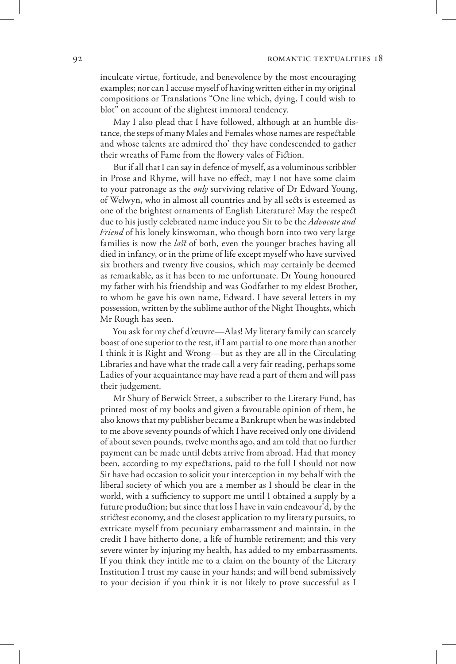#### 92 **ROMANTIC TEXTUALITIES 18**

inculcate virtue, fortitude, and benevolence by the most encouraging examples; nor can I accuse myself of having written either in my original compositions or Translations "One line which, dying, I could wish to blot" on account of the slightest immoral tendency.

May I also plead that I have followed, although at an humble distance, the steps of many Males and Females whose names are respectable and whose talents are admired tho' they have condescended to gather their wreaths of Fame from the flowery vales of Fiction.

But if all that I can say in defence of myself, as a voluminous scribbler in Prose and Rhyme, will have no effect, may I not have some claim to your patronage as the *only* surviving relative of Dr Edward Young, of Welwyn, who in almost all countries and by all sects is esteemed as one of the brightest ornaments of English Literature? May the respect due to his justly celebrated name induce you Sir to be the *Advocate and Friend* of his lonely kinswoman, who though born into two very large families is now the *last* of both, even the younger braches having all died in infancy, or in the prime of life except myself who have survived six brothers and twenty five cousins, which may certainly be deemed as remarkable, as it has been to me unfortunate. Dr Young honoured my father with his friendship and was Godfather to my eldest Brother, to whom he gave his own name, Edward. I have several letters in my possession, written by the sublime author of the Night Thoughts, which Mr Rough has seen.

You ask for my chef d'œuvre—Alas! My literary family can scarcely boast of one superior to the rest, if I am partial to one more than another I think it is Right and Wrong—but as they are all in the Circulating Libraries and have what the trade call a very fair reading, perhaps some Ladies of your acquaintance may have read a part of them and will pass their judgement.

Mr Shury of Berwick Street, a subscriber to the Literary Fund, has printed most of my books and given a favourable opinion of them, he also knows that my publisher became a Bankrupt when he was indebted to me above seventy pounds of which I have received only one dividend of about seven pounds, twelve months ago, and am told that no further payment can be made until debts arrive from abroad. Had that money been, according to my expectations, paid to the full I should not now Sir have had occasion to solicit your interception in my behalf with the liberal society of which you are a member as I should be clear in the world, with a sufficiency to support me until I obtained a supply by a future production; but since that loss I have in vain endeavour'd, by the strictest economy, and the closest application to my literary pursuits, to extricate myself from pecuniary embarrassment and maintain, in the credit I have hitherto done, a life of humble retirement; and this very severe winter by injuring my health, has added to my embarrassments. If you think they intitle me to a claim on the bounty of the Literary Institution I trust my cause in your hands; and will bend submissively to your decision if you think it is not likely to prove successful as I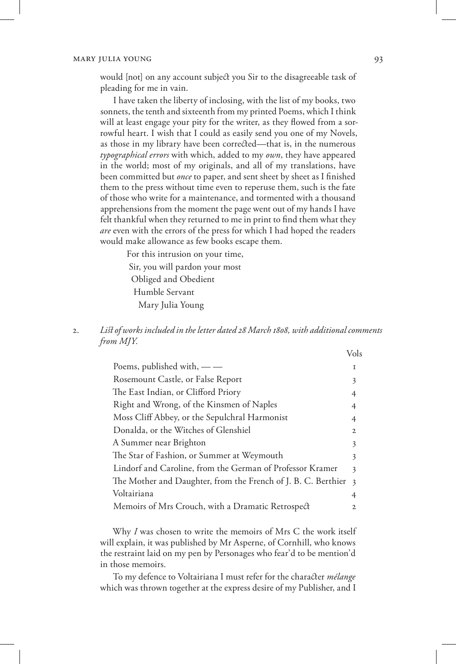would [not] on any account subject you Sir to the disagreeable task of pleading for me in vain.

I have taken the liberty of inclosing, with the list of my books, two sonnets, the tenth and sixteenth from my printed Poems, which I think will at least engage your pity for the writer, as they flowed from a sorrowful heart. I wish that I could as easily send you one of my Novels, as those in my library have been corrected—that is, in the numerous *typographical errors* with which, added to my *own*, they have appeared in the world; most of my originals, and all of my translations, have been committed but *once* to paper, and sent sheet by sheet as I finished them to the press without time even to reperuse them, such is the fate of those who write for a maintenance, and tormented with a thousand apprehensions from the moment the page went out of my hands I have felt thankful when they returned to me in print to find them what they *are* even with the errors of the press for which I had hoped the readers would make allowance as few books escape them.

> For this intrusion on your time, Sir, you will pardon your most Obliged and Obedient Humble Servant Mary Julia Young

2. *List of works included in the letter dated 28 March 1808, with additional comments from MJY.*

|                                                               | /ols                    |
|---------------------------------------------------------------|-------------------------|
| Poems, published with, $-\frac{1}{2}$                         | T                       |
| Rosemount Castle, or False Report                             | 3                       |
| The East Indian, or Clifford Priory                           | 4                       |
| Right and Wrong, of the Kinsmen of Naples                     | 4                       |
| Moss Cliff Abbey, or the Sepulchral Harmonist                 | 4                       |
| Donalda, or the Witches of Glenshiel                          | $\mathfrak{D}$          |
| A Summer near Brighton                                        | 3                       |
| The Star of Fashion, or Summer at Weymouth                    | 3                       |
| Lindorf and Caroline, from the German of Professor Kramer     | 3                       |
| The Mother and Daughter, from the French of J. B. C. Berthier | $\overline{\mathbf{3}}$ |
| Voltairiana                                                   | 4                       |
| Memoirs of Mrs Crouch, with a Dramatic Retrospect             | $\mathfrak{D}$          |
|                                                               |                         |

Why *I* was chosen to write the memoirs of Mrs C the work itself will explain, it was published by Mr Asperne, of Cornhill, who knows the restraint laid on my pen by Personages who fear'd to be mention'd in those memoirs.

To my defence to Voltairiana I must refer for the character *mélange* which was thrown together at the express desire of my Publisher, and I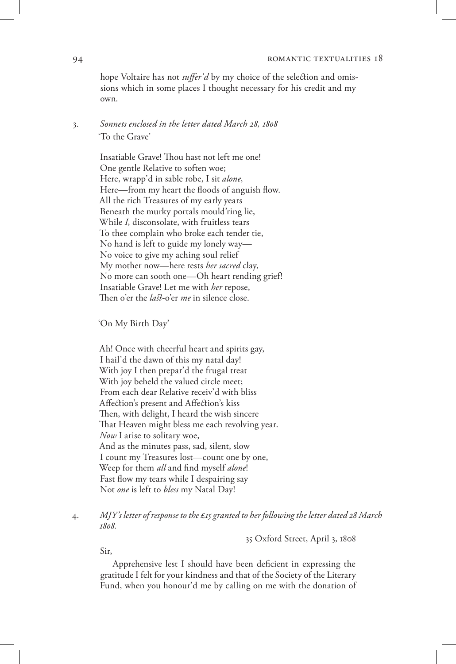#### 94 **ROMANTIC TEXTUALITIES 18**

hope Voltaire has not *suffer'd* by my choice of the selection and omissions which in some places I thought necessary for his credit and my own.

## 3. *Sonnets enclosed in the letter dated March 28, 1808*  'To the Grave'

Insatiable Grave! Thou hast not left me one! One gentle Relative to soften woe; Here, wrapp'd in sable robe, I sit *alone*, Here—from my heart the floods of anguish flow. All the rich Treasures of my early years Beneath the murky portals mould'ring lie, While *I*, disconsolate, with fruitless tears To thee complain who broke each tender tie, No hand is left to guide my lonely way— No voice to give my aching soul relief My mother now—here rests *her sacred* clay, No more can sooth one—Oh heart rending grief! Insatiable Grave! Let me with *her* repose, Then o'er the *last*-o'er *me* in silence close.

'On My Birth Day'

Ah! Once with cheerful heart and spirits gay, I hail'd the dawn of this my natal day! With joy I then prepar'd the frugal treat With joy beheld the valued circle meet; From each dear Relative receiv'd with bliss Affection's present and Affection's kiss Then, with delight, I heard the wish sincere That Heaven might bless me each revolving year. *Now* I arise to solitary woe, And as the minutes pass, sad, silent, slow I count my Treasures lost—count one by one, Weep for them *all* and find myself *alone*! Fast flow my tears while I despairing say Not *one* is left to *bless* my Natal Day!

4. *MJY's letter of response to the £15 granted to her following the letter dated 28 March 1808.* 

35 Oxford Street, April 3, 1808

Sir,

Apprehensive lest I should have been deficient in expressing the gratitude I felt for your kindness and that of the Society of the Literary Fund, when you honour'd me by calling on me with the donation of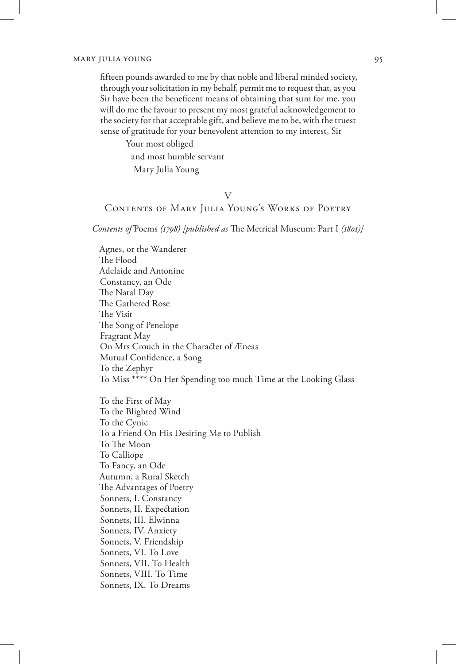fifteen pounds awarded to me by that noble and liberal minded society, through your solicitation in my behalf, permit me to request that, as you Sir have been the beneficent means of obtaining that sum for me, you will do me the favour to present my most grateful acknowledgement to the society for that acceptable gift, and believe me to be, with the truest sense of gratitude for your benevolent attention to my interest, Sir

> Your most obliged and most humble servant Mary Julia Young

## V

## Contents of Mary Julia Young's Works of Poetry

*Contents of* Poems *(1798) [published as* The Metrical Museum: Part I *(1801)]*

Agnes, or the Wanderer The Flood Adelaide and Antonine Constancy, an Ode The Natal Day The Gathered Rose The Visit The Song of Penelope Fragrant May On Mrs Crouch in the Character of Æneas Mutual Confidence, a Song To the Zephyr To Miss \*\*\*\* On Her Spending too much Time at the Looking Glass To the First of May To the Blighted Wind To the Cynic To a Friend On His Desiring Me to Publish To The Moon To Calliope To Fancy, an Ode Autumn, a Rural Sketch

The Advantages of Poetry

Sonnets, I. Constancy

Sonnets, II. Expectation

Sonnets, III. Elwinna

Sonnets, IV. Anxiety

Sonnets, V. Friendship

Sonnets, VI. To Love

Sonnets, VII. To Health

Sonnets, VIII. To Time

Sonnets, IX. To Dreams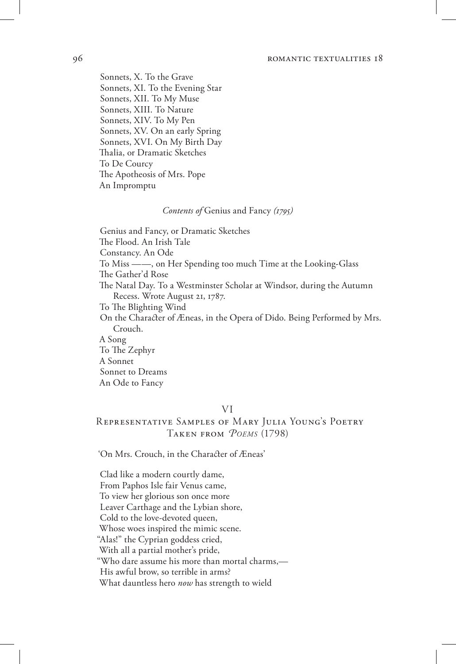#### 96 **romandic textualities 18 romandic textualities 18**

Sonnets, X. To the Grave Sonnets, XI. To the Evening Star Sonnets, XII. To My Muse Sonnets, XIII. To Nature Sonnets, XIV. To My Pen Sonnets, XV. On an early Spring Sonnets, XVI. On My Birth Day Thalia, or Dramatic Sketches To De Courcy The Apotheosis of Mrs. Pope An Impromptu

#### *Contents of* Genius and Fancy *(1795)*

Genius and Fancy, or Dramatic Sketches The Flood. An Irish Tale Constancy. An Ode To Miss ——, on Her Spending too much Time at the Looking-Glass The Gather'd Rose The Natal Day. To a Westminster Scholar at Windsor, during the Autumn Recess. Wrote August 21, 1787. To The Blighting Wind On the Character of Æneas, in the Opera of Dido. Being Performed by Mrs. Crouch. A Song To The Zephyr A Sonnet Sonnet to Dreams An Ode to Fancy

## VI

## Representative Samples of Mary Julia Young's Poetry Taken from *Poems* (1798)

'On Mrs. Crouch, in the Character of Æneas'

Clad like a modern courtly dame, From Paphos Isle fair Venus came, To view her glorious son once more Leaver Carthage and the Lybian shore, Cold to the love-devoted queen, Whose woes inspired the mimic scene. "Alas!" the Cyprian goddess cried, With all a partial mother's pride, "Who dare assume his more than mortal charms,— His awful brow, so terrible in arms? What dauntless hero *now* has strength to wield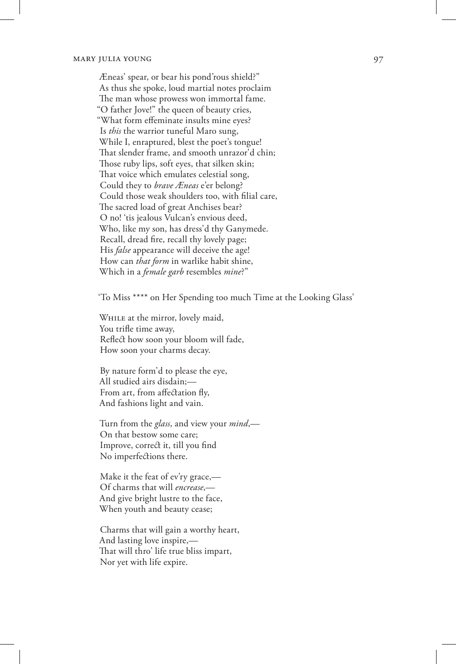Æneas' spear, or bear his pond'rous shield?" As thus she spoke, loud martial notes proclaim The man whose prowess won immortal fame. "O father Jove!" the queen of beauty cries, "What form effeminate insults mine eyes? Is *this* the warrior tuneful Maro sung, While I, enraptured, blest the poet's tongue! That slender frame, and smooth unrazor'd chin; Those ruby lips, soft eyes, that silken skin; That voice which emulates celestial song, Could they to *brave Æneas* e'er belong? Could those weak shoulders too, with filial care, The sacred load of great Anchises bear? O no! 'tis jealous Vulcan's envious deed, Who, like my son, has dress'd thy Ganymede. Recall, dread fire, recall thy lovely page; His *false* appearance will deceive the age! How can *that form* in warlike habit shine, Which in a *female garb* resembles *mine*?"

'To Miss \*\*\*\* on Her Spending too much Time at the Looking Glass'

While at the mirror, lovely maid, You trifle time away, Reflect how soon your bloom will fade, How soon your charms decay.

By nature form'd to please the eye, All studied airs disdain;— From art, from affectation fly, And fashions light and vain.

Turn from the *glass*, and view your *mind*,— On that bestow some care; Improve, correct it, till you find No imperfections there.

Make it the feat of ev'ry grace,— Of charms that will *encrease*,— And give bright lustre to the face, When youth and beauty cease;

Charms that will gain a worthy heart, And lasting love inspire,— That will thro' life true bliss impart, Nor yet with life expire.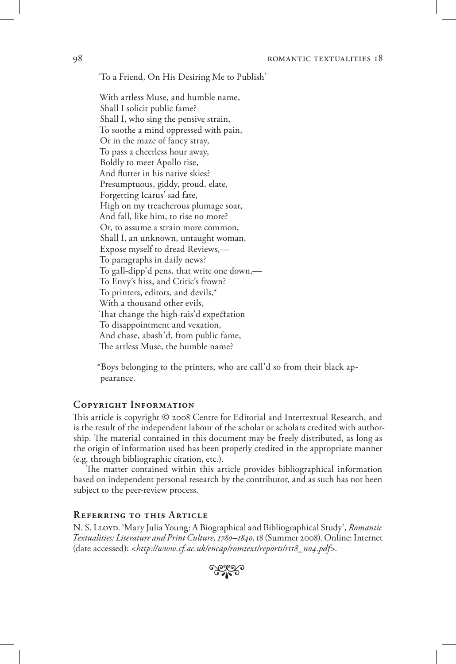'To a Friend, On His Desiring Me to Publish'

With artless Muse, and humble name, Shall I solicit public fame? Shall I, who sing the pensive strain, To soothe a mind oppressed with pain, Or in the maze of fancy stray, To pass a cheerless hour away, Boldly to meet Apollo rise, And flutter in his native skies? Presumptuous, giddy, proud, elate, Forgetting Icarus' sad fate, High on my treacherous plumage soar, And fall, like him, to rise no more? Or, to assume a strain more common, Shall I, an unknown, untaught woman, Expose myself to dread Reviews,— To paragraphs in daily news? To gall-dipp'd pens, that write one down,— To Envy's hiss, and Critic's frown? To printers, editors, and devils,\* With a thousand other evils, That change the high-rais'd expectation To disappointment and vexation, And chase, abash'd, from public fame, The artless Muse, the humble name?

\*Boys belonging to the printers, who are call'd so from their black appearance.

## **Copyright Information**

This article is copyright © 2008 Centre for Editorial and Intertextual Research, and is the result of the independent labour of the scholar or scholars credited with authorship. The material contained in this document may be freely distributed, as long as the origin of information used has been properly credited in the appropriate manner (e.g. through bibliographic citation, etc.).

The matter contained within this article provides bibliographical information based on independent personal research by the contributor, and as such has not been subject to the peer-review process.

#### **Referring to this Article**

N. S. LLOYD. 'Mary Julia Young: A Biographical and Bibliographical Study', *Romantic Textualities: Literature and Print Culture, 1780–1840*, 18 (Summer 2008). Online: Internet (date accessed): <*http://www.cf.ac.uk/encap/romtext/reports/rt18\_n04.pdf*>. •

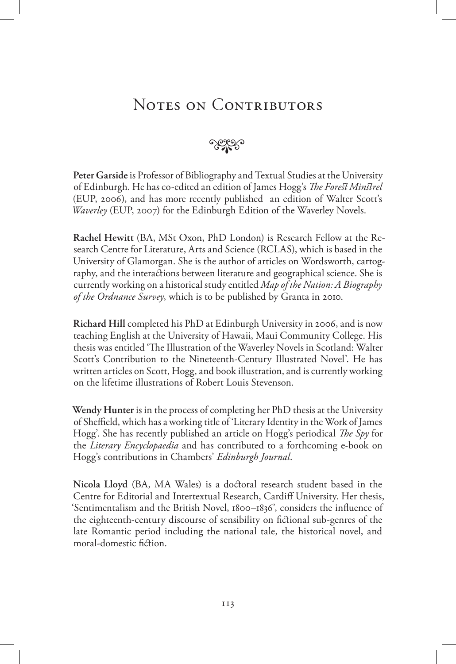# NOTES ON CONTRIBUTORS

## $\sim$

**Peter Garside** is Professor of Bibliography and Textual Studies at the University of Edinburgh. He has co-edited an edition of James Hogg's *The Forest Minstrel*  (EUP, 2006), and has more recently published an edition of Walter Scott's *Waverley* (EUP, 2007) for the Edinburgh Edition of the Waverley Novels.

**Rachel Hewitt** (BA, MSt Oxon, PhD London) is Research Fellow at the Research Centre for Literature, Arts and Science (RCLAS), which is based in the University of Glamorgan. She is the author of articles on Wordsworth, cartography, and the interactions between literature and geographical science. She is currently working on a historical study entitled *Map of the Nation: A Biography of the Ordnance Survey*, which is to be published by Granta in 2010.

**Richard Hill** completed his PhD at Edinburgh University in 2006, and is now teaching English at the University of Hawaii, Maui Community College. His thesis was entitled 'The Illustration of the Waverley Novels in Scotland: Walter Scott's Contribution to the Nineteenth-Century Illustrated Novel'. He has written articles on Scott, Hogg, and book illustration, and is currently working on the lifetime illustrations of Robert Louis Stevenson.

**Wendy Hunter** is in the process of completing her PhD thesis at the University of Sheffield, which has a working title of 'Literary Identity in the Work of James Hogg'. She has recently published an article on Hogg's periodical *The Spy* for the *Literary Encyclopaedia* and has contributed to a forthcoming e-book on Hogg's contributions in Chambers' *Edinburgh Journal*.

**Nicola Lloyd** (BA, MA Wales) is a doctoral research student based in the Centre for Editorial and Intertextual Research, Cardiff University. Her thesis, 'Sentimentalism and the British Novel, 1800–1836', considers the influence of the eighteenth-century discourse of sensibility on fictional sub-genres of the late Romantic period including the national tale, the historical novel, and moral-domestic fiction.